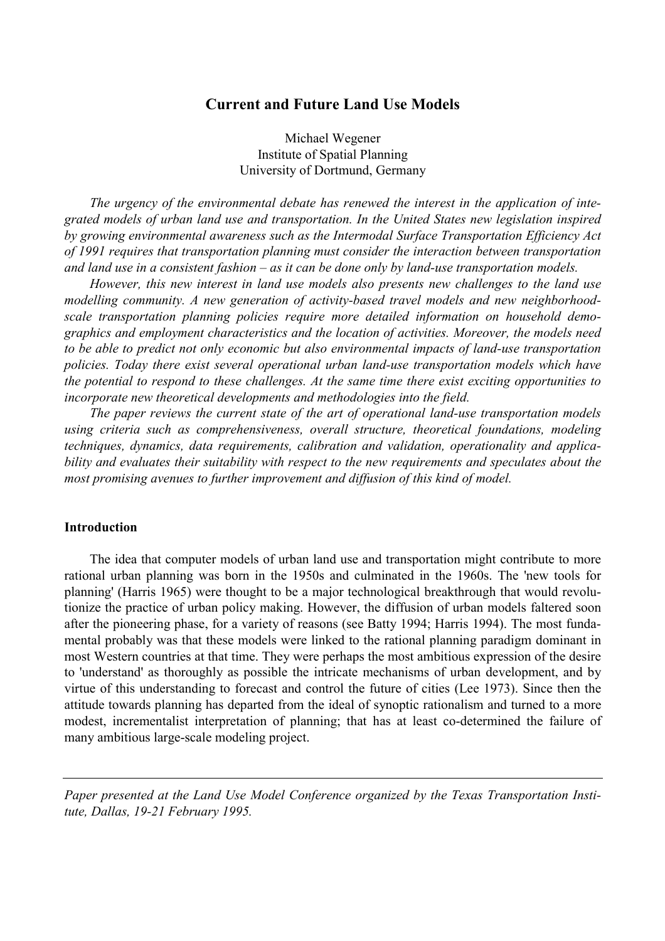# **Current and Future Land Use Models**

Michael Wegener Institute of Spatial Planning University of Dortmund, Germany

*The urgency of the environmental debate has renewed the interest in the application of integrated models of urban land use and transportation. In the United States new legislation inspired by growing environmental awareness such as the Intermodal Surface Transportation Efficiency Act of 1991 requires that transportation planning must consider the interaction between transportation and land use in a consistent fashion – as it can be done only by land-use transportation models.*

*However, this new interest in land use models also presents new challenges to the land use modelling community. A new generation of activity-based travel models and new neighborhoodscale transportation planning policies require more detailed information on household demographics and employment characteristics and the location of activities. Moreover, the models need to be able to predict not only economic but also environmental impacts of land-use transportation policies. Today there exist several operational urban land-use transportation models which have the potential to respond to these challenges. At the same time there exist exciting opportunities to incorporate new theoretical developments and methodologies into the field.*

*The paper reviews the current state of the art of operational land-use transportation models using criteria such as comprehensiveness, overall structure, theoretical foundations, modeling techniques, dynamics, data requirements, calibration and validation, operationality and applicability and evaluates their suitability with respect to the new requirements and speculates about the most promising avenues to further improvement and diffusion of this kind of model.*

# **Introduction**

The idea that computer models of urban land use and transportation might contribute to more rational urban planning was born in the 1950s and culminated in the 1960s. The 'new tools for planning' (Harris 1965) were thought to be a major technological breakthrough that would revolutionize the practice of urban policy making. However, the diffusion of urban models faltered soon after the pioneering phase, for a variety of reasons (see Batty 1994; Harris 1994). The most fundamental probably was that these models were linked to the rational planning paradigm dominant in most Western countries at that time. They were perhaps the most ambitious expression of the desire to 'understand' as thoroughly as possible the intricate mechanisms of urban development, and by virtue of this understanding to forecast and control the future of cities (Lee 1973). Since then the attitude towards planning has departed from the ideal of synoptic rationalism and turned to a more modest, incrementalist interpretation of planning; that has at least co-determined the failure of many ambitious large-scale modeling project.

*Paper presented at the Land Use Model Conference organized by the Texas Transportation Institute, Dallas, 19-21 February 1995.*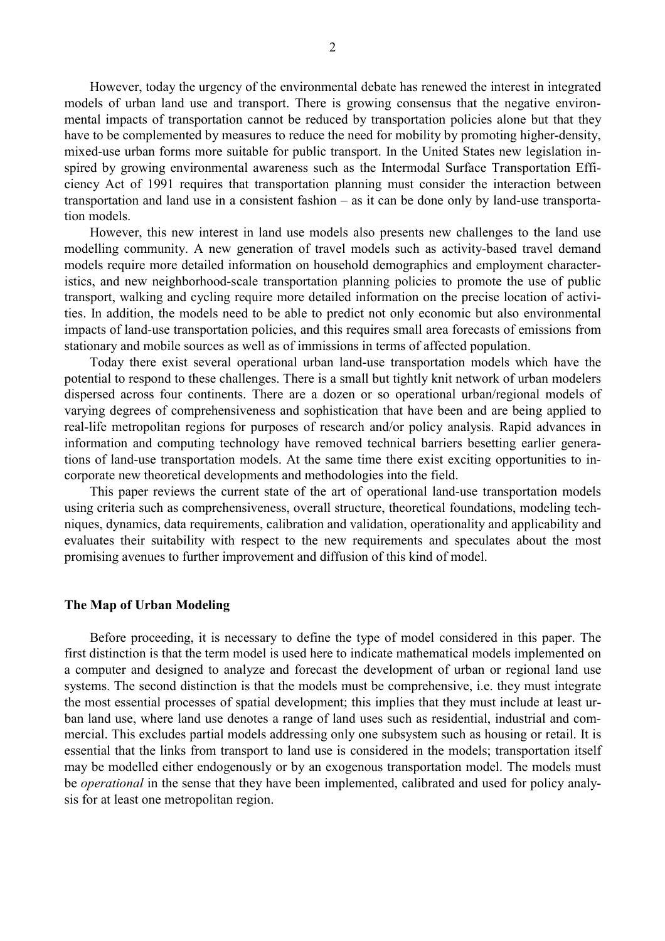However, today the urgency of the environmental debate has renewed the interest in integrated models of urban land use and transport. There is growing consensus that the negative environmental impacts of transportation cannot be reduced by transportation policies alone but that they have to be complemented by measures to reduce the need for mobility by promoting higher-density, mixed-use urban forms more suitable for public transport. In the United States new legislation inspired by growing environmental awareness such as the Intermodal Surface Transportation Efficiency Act of 1991 requires that transportation planning must consider the interaction between transportation and land use in a consistent fashion – as it can be done only by land-use transportation models.

However, this new interest in land use models also presents new challenges to the land use modelling community. A new generation of travel models such as activity-based travel demand models require more detailed information on household demographics and employment characteristics, and new neighborhood-scale transportation planning policies to promote the use of public transport, walking and cycling require more detailed information on the precise location of activities. In addition, the models need to be able to predict not only economic but also environmental impacts of land-use transportation policies, and this requires small area forecasts of emissions from stationary and mobile sources as well as of immissions in terms of affected population.

Today there exist several operational urban land-use transportation models which have the potential to respond to these challenges. There is a small but tightly knit network of urban modelers dispersed across four continents. There are a dozen or so operational urban/regional models of varying degrees of comprehensiveness and sophistication that have been and are being applied to real-life metropolitan regions for purposes of research and/or policy analysis. Rapid advances in information and computing technology have removed technical barriers besetting earlier generations of land-use transportation models. At the same time there exist exciting opportunities to incorporate new theoretical developments and methodologies into the field.

This paper reviews the current state of the art of operational land-use transportation models using criteria such as comprehensiveness, overall structure, theoretical foundations, modeling techniques, dynamics, data requirements, calibration and validation, operationality and applicability and evaluates their suitability with respect to the new requirements and speculates about the most promising avenues to further improvement and diffusion of this kind of model.

## **The Map of Urban Modeling**

Before proceeding, it is necessary to define the type of model considered in this paper. The first distinction is that the term model is used here to indicate mathematical models implemented on a computer and designed to analyze and forecast the development of urban or regional land use systems. The second distinction is that the models must be comprehensive, i.e. they must integrate the most essential processes of spatial development; this implies that they must include at least urban land use, where land use denotes a range of land uses such as residential, industrial and commercial. This excludes partial models addressing only one subsystem such as housing or retail. It is essential that the links from transport to land use is considered in the models; transportation itself may be modelled either endogenously or by an exogenous transportation model. The models must be *operational* in the sense that they have been implemented, calibrated and used for policy analysis for at least one metropolitan region.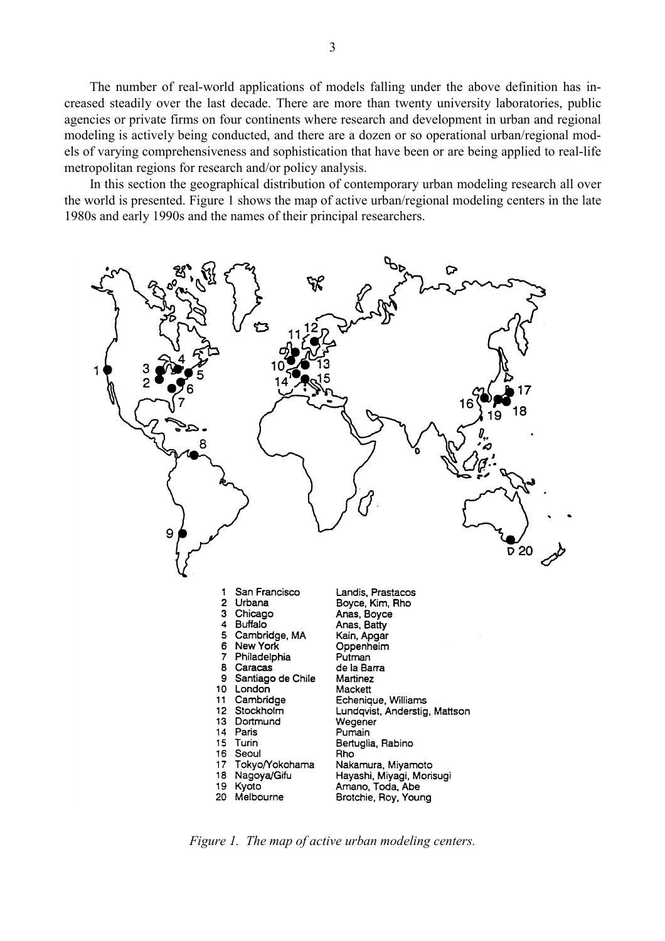The number of real-world applications of models falling under the above definition has increased steadily over the last decade. There are more than twenty university laboratories, public agencies or private firms on four continents where research and development in urban and regional modeling is actively being conducted, and there are a dozen or so operational urban/regional models of varying comprehensiveness and sophistication that have been or are being applied to real-life metropolitan regions for research and/or policy analysis.

In this section the geographical distribution of contemporary urban modeling research all over the world is presented. Figure 1 shows the map of active urban/regional modeling centers in the late 1980s and early 1990s and the names of their principal researchers.



*Figure 1. The map of active urban modeling centers.*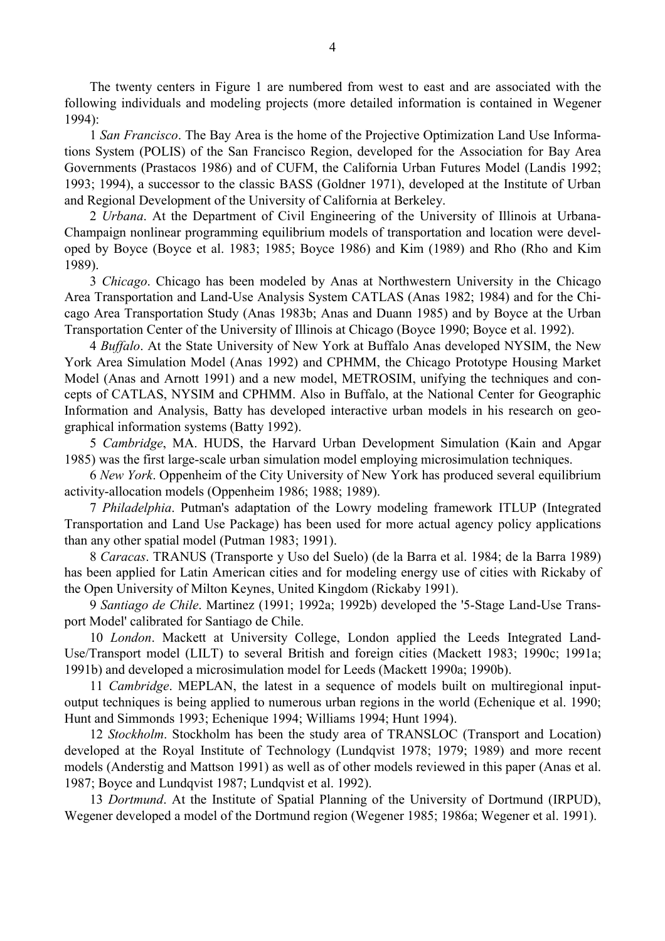The twenty centers in Figure 1 are numbered from west to east and are associated with the following individuals and modeling projects (more detailed information is contained in Wegener 1994):

1 *San Francisco*. The Bay Area is the home of the Projective Optimization Land Use Informations System (POLIS) of the San Francisco Region, developed for the Association for Bay Area Governments (Prastacos 1986) and of CUFM, the California Urban Futures Model (Landis 1992; 1993; 1994), a successor to the classic BASS (Goldner 1971), developed at the Institute of Urban and Regional Development of the University of California at Berkeley.

2 *Urbana*. At the Department of Civil Engineering of the University of Illinois at Urbana-Champaign nonlinear programming equilibrium models of transportation and location were developed by Boyce (Boyce et al. 1983; 1985; Boyce 1986) and Kim (1989) and Rho (Rho and Kim 1989).

3 *Chicago*. Chicago has been modeled by Anas at Northwestern University in the Chicago Area Transportation and Land-Use Analysis System CATLAS (Anas 1982; 1984) and for the Chicago Area Transportation Study (Anas 1983b; Anas and Duann 1985) and by Boyce at the Urban Transportation Center of the University of Illinois at Chicago (Boyce 1990; Boyce et al. 1992).

4 *Buffalo*. At the State University of New York at Buffalo Anas developed NYSIM, the New York Area Simulation Model (Anas 1992) and CPHMM, the Chicago Prototype Housing Market Model (Anas and Arnott 1991) and a new model, METROSIM, unifying the techniques and concepts of CATLAS, NYSIM and CPHMM. Also in Buffalo, at the National Center for Geographic Information and Analysis, Batty has developed interactive urban models in his research on geographical information systems (Batty 1992).

5 *Cambridge*, MA. HUDS, the Harvard Urban Development Simulation (Kain and Apgar 1985) was the first large-scale urban simulation model employing microsimulation techniques.

6 *New York*. Oppenheim of the City University of New York has produced several equilibrium activity-allocation models (Oppenheim 1986; 1988; 1989).

7 *Philadelphia*. Putman's adaptation of the Lowry modeling framework ITLUP (Integrated Transportation and Land Use Package) has been used for more actual agency policy applications than any other spatial model (Putman 1983; 1991).

8 *Caracas*. TRANUS (Transporte y Uso del Suelo) (de la Barra et al. 1984; de la Barra 1989) has been applied for Latin American cities and for modeling energy use of cities with Rickaby of the Open University of Milton Keynes, United Kingdom (Rickaby 1991).

9 *Santiago de Chile*. Martinez (1991; 1992a; 1992b) developed the '5-Stage Land-Use Transport Model' calibrated for Santiago de Chile.

10 *London*. Mackett at University College, London applied the Leeds Integrated Land-Use/Transport model (LILT) to several British and foreign cities (Mackett 1983; 1990c; 1991a; 1991b) and developed a microsimulation model for Leeds (Mackett 1990a; 1990b).

11 *Cambridge*. MEPLAN, the latest in a sequence of models built on multiregional inputoutput techniques is being applied to numerous urban regions in the world (Echenique et al. 1990; Hunt and Simmonds 1993; Echenique 1994; Williams 1994; Hunt 1994).

12 *Stockholm*. Stockholm has been the study area of TRANSLOC (Transport and Location) developed at the Royal Institute of Technology (Lundqvist 1978; 1979; 1989) and more recent models (Anderstig and Mattson 1991) as well as of other models reviewed in this paper (Anas et al. 1987; Boyce and Lundqvist 1987; Lundqvist et al. 1992).

13 *Dortmund*. At the Institute of Spatial Planning of the University of Dortmund (IRPUD), Wegener developed a model of the Dortmund region (Wegener 1985; 1986a; Wegener et al. 1991).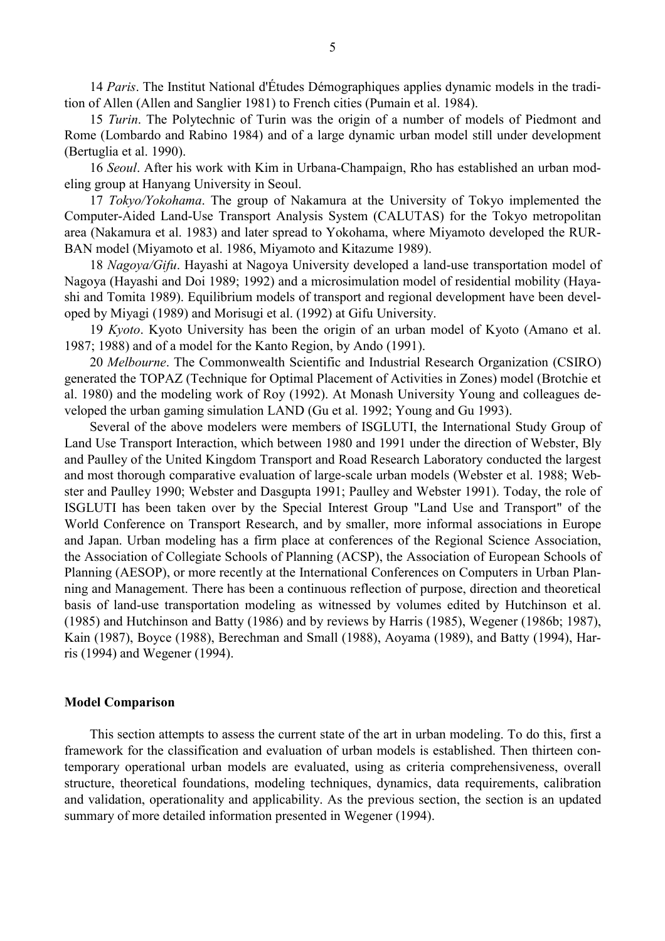14 *Paris*. The Institut National d'Études Démographiques applies dynamic models in the tradition of Allen (Allen and Sanglier 1981) to French cities (Pumain et al. 1984).

15 *Turin*. The Polytechnic of Turin was the origin of a number of models of Piedmont and Rome (Lombardo and Rabino 1984) and of a large dynamic urban model still under development (Bertuglia et al. 1990).

16 *Seoul*. After his work with Kim in Urbana-Champaign, Rho has established an urban modeling group at Hanyang University in Seoul.

17 *Tokyo/Yokohama*. The group of Nakamura at the University of Tokyo implemented the Computer-Aided Land-Use Transport Analysis System (CALUTAS) for the Tokyo metropolitan area (Nakamura et al. 1983) and later spread to Yokohama, where Miyamoto developed the RUR-BAN model (Miyamoto et al. 1986, Miyamoto and Kitazume 1989).

18 *Nagoya/Gifu*. Hayashi at Nagoya University developed a land-use transportation model of Nagoya (Hayashi and Doi 1989; 1992) and a microsimulation model of residential mobility (Hayashi and Tomita 1989). Equilibrium models of transport and regional development have been developed by Miyagi (1989) and Morisugi et al. (1992) at Gifu University.

19 *Kyoto*. Kyoto University has been the origin of an urban model of Kyoto (Amano et al. 1987; 1988) and of a model for the Kanto Region, by Ando (1991).

20 *Melbourne*. The Commonwealth Scientific and Industrial Research Organization (CSIRO) generated the TOPAZ (Technique for Optimal Placement of Activities in Zones) model (Brotchie et al. 1980) and the modeling work of Roy (1992). At Monash University Young and colleagues developed the urban gaming simulation LAND (Gu et al. 1992; Young and Gu 1993).

Several of the above modelers were members of ISGLUTI, the International Study Group of Land Use Transport Interaction, which between 1980 and 1991 under the direction of Webster, Bly and Paulley of the United Kingdom Transport and Road Research Laboratory conducted the largest and most thorough comparative evaluation of large-scale urban models (Webster et al. 1988; Webster and Paulley 1990; Webster and Dasgupta 1991; Paulley and Webster 1991). Today, the role of ISGLUTI has been taken over by the Special Interest Group "Land Use and Transport" of the World Conference on Transport Research, and by smaller, more informal associations in Europe and Japan. Urban modeling has a firm place at conferences of the Regional Science Association, the Association of Collegiate Schools of Planning (ACSP), the Association of European Schools of Planning (AESOP), or more recently at the International Conferences on Computers in Urban Planning and Management. There has been a continuous reflection of purpose, direction and theoretical basis of land-use transportation modeling as witnessed by volumes edited by Hutchinson et al. (1985) and Hutchinson and Batty (1986) and by reviews by Harris (1985), Wegener (1986b; 1987), Kain (1987), Boyce (1988), Berechman and Small (1988), Aoyama (1989), and Batty (1994), Harris (1994) and Wegener (1994).

### **Model Comparison**

This section attempts to assess the current state of the art in urban modeling. To do this, first a framework for the classification and evaluation of urban models is established. Then thirteen contemporary operational urban models are evaluated, using as criteria comprehensiveness, overall structure, theoretical foundations, modeling techniques, dynamics, data requirements, calibration and validation, operationality and applicability. As the previous section, the section is an updated summary of more detailed information presented in Wegener (1994).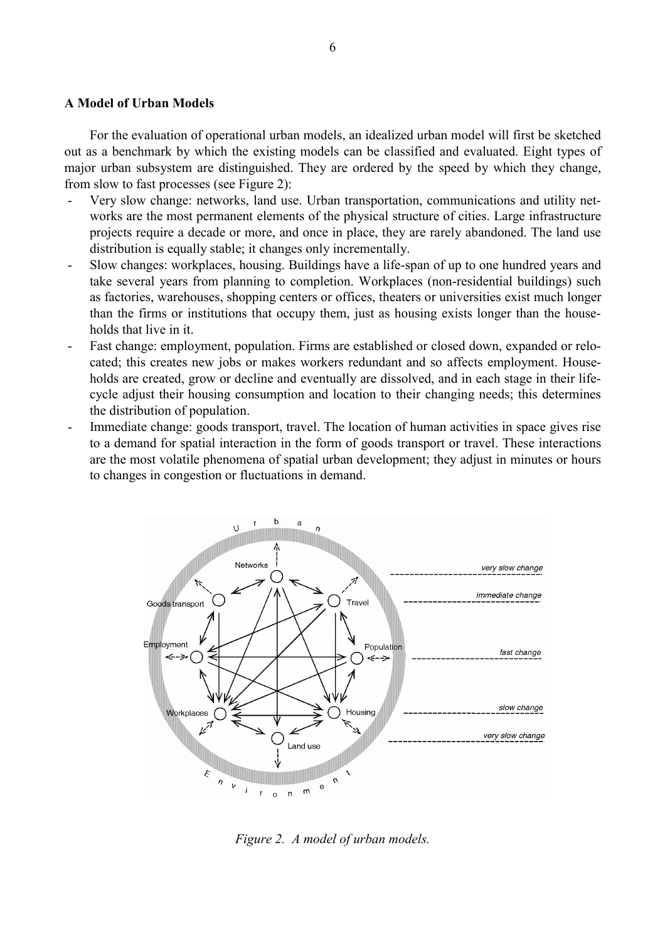## **A Model of Urban Models**

For the evaluation of operational urban models, an idealized urban model will first be sketched out as a benchmark by which the existing models can be classified and evaluated. Eight types of major urban subsystem are distinguished. They are ordered by the speed by which they change, from slow to fast processes (see Figure 2):

- Very slow change: networks, land use. Urban transportation, communications and utility networks are the most permanent elements of the physical structure of cities. Large infrastructure projects require a decade or more, and once in place, they are rarely abandoned. The land use distribution is equally stable; it changes only incrementally.
- Slow changes: workplaces, housing. Buildings have a life-span of up to one hundred years and take several years from planning to completion. Workplaces (non-residential buildings) such as factories, warehouses, shopping centers or offices, theaters or universities exist much longer than the firms or institutions that occupy them, just as housing exists longer than the households that live in it.
- Fast change: employment, population. Firms are established or closed down, expanded or relocated; this creates new jobs or makes workers redundant and so affects employment. Households are created, grow or decline and eventually are dissolved, and in each stage in their lifecycle adjust their housing consumption and location to their changing needs; this determines the distribution of population.
- Immediate change: goods transport, travel. The location of human activities in space gives rise to a demand for spatial interaction in the form of goods transport or travel. These interactions are the most volatile phenomena of spatial urban development; they adjust in minutes or hours to changes in congestion or fluctuations in demand.



*Figure 2. A model of urban models.*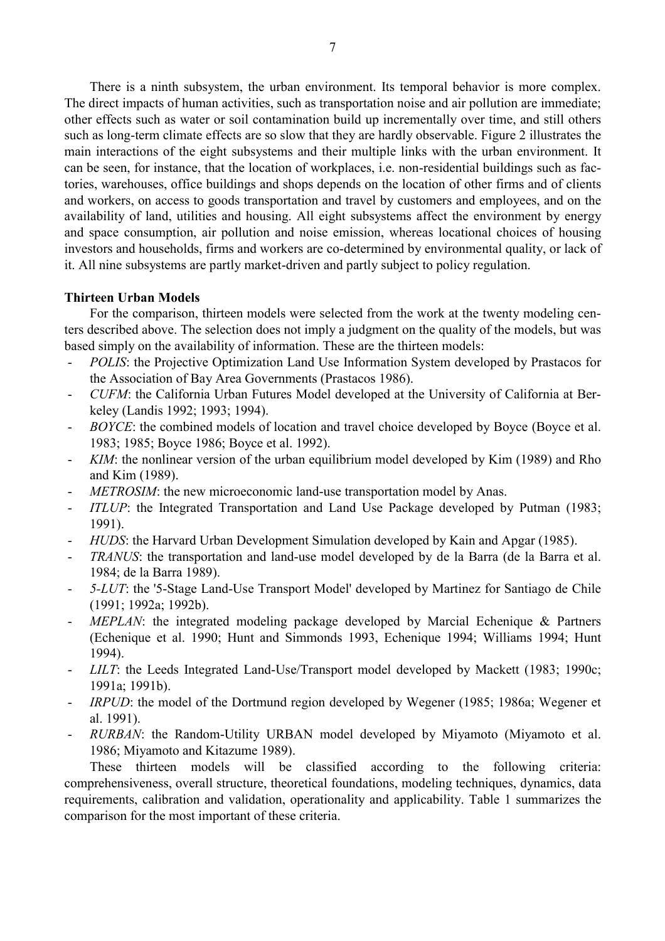There is a ninth subsystem, the urban environment. Its temporal behavior is more complex. The direct impacts of human activities, such as transportation noise and air pollution are immediate; other effects such as water or soil contamination build up incrementally over time, and still others such as long-term climate effects are so slow that they are hardly observable. Figure 2 illustrates the main interactions of the eight subsystems and their multiple links with the urban environment. It can be seen, for instance, that the location of workplaces, i.e. non-residential buildings such as factories, warehouses, office buildings and shops depends on the location of other firms and of clients and workers, on access to goods transportation and travel by customers and employees, and on the availability of land, utilities and housing. All eight subsystems affect the environment by energy and space consumption, air pollution and noise emission, whereas locational choices of housing investors and households, firms and workers are co-determined by environmental quality, or lack of it. All nine subsystems are partly market-driven and partly subject to policy regulation.

# **Thirteen Urban Models**

For the comparison, thirteen models were selected from the work at the twenty modeling centers described above. The selection does not imply a judgment on the quality of the models, but was based simply on the availability of information. These are the thirteen models:

- *POLIS*: the Projective Optimization Land Use Information System developed by Prastacos for the Association of Bay Area Governments (Prastacos 1986).
- *CUFM*: the California Urban Futures Model developed at the University of California at Berkeley (Landis 1992; 1993; 1994).
- *BOYCE*: the combined models of location and travel choice developed by Boyce (Boyce et al. 1983; 1985; Boyce 1986; Boyce et al. 1992).
- *KIM*: the nonlinear version of the urban equilibrium model developed by Kim (1989) and Rho and Kim (1989).
- METROSIM: the new microeconomic land-use transportation model by Anas.
- *ITLUP*: the Integrated Transportation and Land Use Package developed by Putman (1983; 1991).
- *HUDS*: the Harvard Urban Development Simulation developed by Kain and Apgar (1985).
- *TRANUS*: the transportation and land-use model developed by de la Barra (de la Barra et al. 1984; de la Barra 1989).
- *5-LUT*: the '5-Stage Land-Use Transport Model' developed by Martinez for Santiago de Chile (1991; 1992a; 1992b).
- *MEPLAN*: the integrated modeling package developed by Marcial Echenique & Partners (Echenique et al. 1990; Hunt and Simmonds 1993, Echenique 1994; Williams 1994; Hunt 1994).
- LILT: the Leeds Integrated Land-Use/Transport model developed by Mackett (1983; 1990c; 1991a; 1991b).
- *IRPUD*: the model of the Dortmund region developed by Wegener (1985; 1986a; Wegener et al. 1991).
- *RURBAN*: the Random-Utility URBAN model developed by Miyamoto (Miyamoto et al. 1986; Miyamoto and Kitazume 1989).

These thirteen models will be classified according to the following criteria: comprehensiveness, overall structure, theoretical foundations, modeling techniques, dynamics, data requirements, calibration and validation, operationality and applicability. Table 1 summarizes the comparison for the most important of these criteria.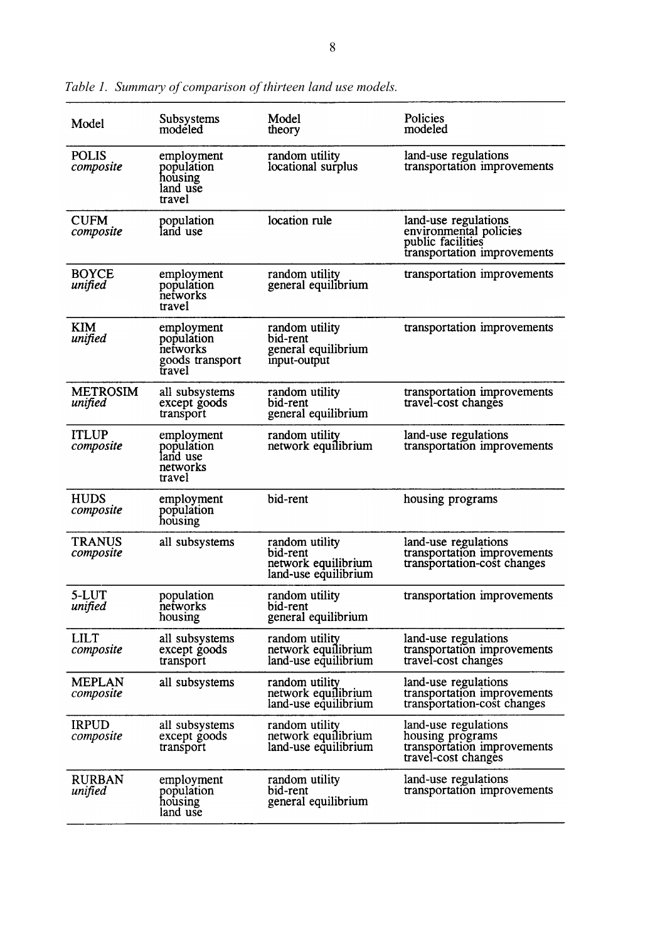| Model                      | Subsystems<br>modeled                                             | Model<br>theory                                                           | Policies<br>modeled                                                                                |
|----------------------------|-------------------------------------------------------------------|---------------------------------------------------------------------------|----------------------------------------------------------------------------------------------------|
| <b>POLIS</b><br>composite  | employment<br>population<br>housing<br>land use<br>travel         | random utility<br>locational surplus                                      | land-use regulations<br>transportation improvements                                                |
| <b>CUFM</b><br>composite   | population<br>land use                                            | location rule                                                             | land-use regulations<br>environmental policies<br>public facilities<br>transportation improvements |
| <b>BOYCE</b><br>unified    | employment<br>population<br>networks<br>travel                    | random utility<br>general equilibrium                                     | transportation improvements                                                                        |
| <b>KIM</b><br>unified      | employment<br>population<br>networks<br>goods transport<br>travel | random utility<br>bid-rent<br>general equilibrium<br>input-output         | transportation improvements                                                                        |
| <b>METROSIM</b><br>unified | all subsystems<br>except goods<br>transport                       | random utility<br>bid-rent<br>general equilibrium                         | transportation improvements<br>travel-cost changes                                                 |
| <b>ITLUP</b><br>composite  | employment<br>population<br>land use<br>networks<br>travel        | random utility<br>network equilibrium                                     | land-use regulations<br>transportation improvements                                                |
| <b>HUDS</b><br>composite   | employment<br>population<br>housing                               | bid-rent                                                                  | housing programs                                                                                   |
| TRANUS<br>composite        | all subsystems                                                    | random utility<br>bid-rent<br>network equilibrium<br>land-use equilibrium | land-use regulations<br>transportation improvements<br>transportation-cost changes                 |
| 5-LUT<br>ипіпеа            | population<br>networks<br>housing                                 | random utility<br>bid-rent<br>general equilibrium                         | transportation improvements                                                                        |
| <b>LILT</b><br>composite   | all subsystems<br>except goods<br>transport                       | random utility<br>network equilibrium<br>land-use equilibrium             | land-use regulations<br>transportation improvements<br>travel-cost changes                         |
| <b>MEPLAN</b><br>composite | all subsystems                                                    | random utility<br>network equilibrium<br>land-use equilibrium             | land-use regulations<br>transportation improvements<br>transportation-cost changes                 |
| <b>IRPUD</b><br>composite  | all subsystems<br>except goods<br>transport                       | random utility<br>network equilibrium<br>land-use equilibrium             | land-use regulations<br>housing programs<br>transportation improvements<br>travel-cost changes     |
| <b>RURBAN</b><br>unified   | employment<br>population<br>housing<br>land use                   | random utility<br>bid-rent<br>general equilibrium                         | land-use regulations<br>transportation improvements                                                |

*Table 1. Summary of comparison of thirteen land use models.*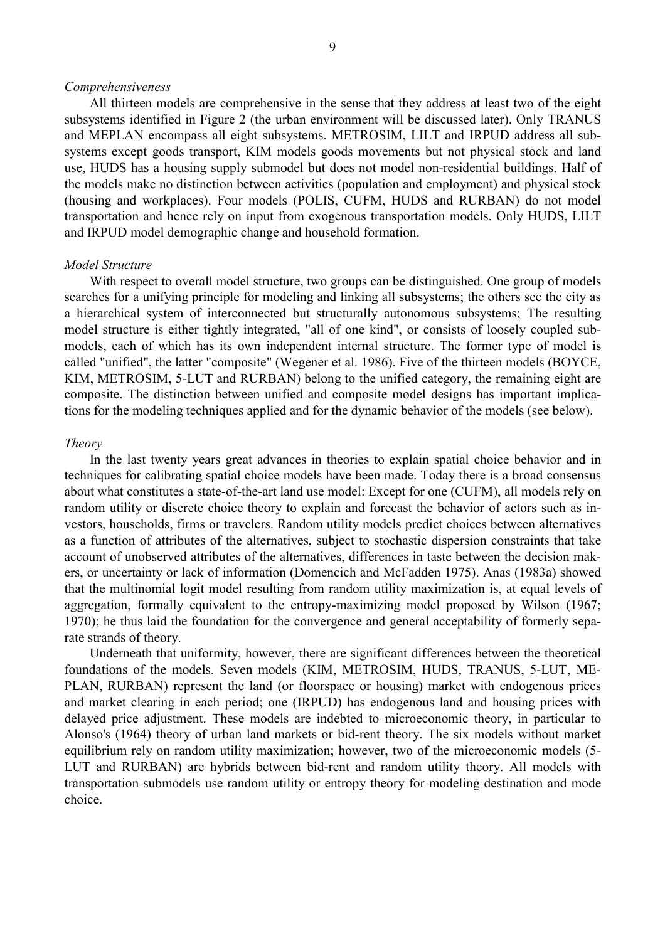# 9

### *Comprehensiveness*

All thirteen models are comprehensive in the sense that they address at least two of the eight subsystems identified in Figure 2 (the urban environment will be discussed later). Only TRANUS and MEPLAN encompass all eight subsystems. METROSIM, LILT and IRPUD address all subsystems except goods transport, KIM models goods movements but not physical stock and land use, HUDS has a housing supply submodel but does not model non-residential buildings. Half of the models make no distinction between activities (population and employment) and physical stock (housing and workplaces). Four models (POLIS, CUFM, HUDS and RURBAN) do not model transportation and hence rely on input from exogenous transportation models. Only HUDS, LILT and IRPUD model demographic change and household formation.

### *Model Structure*

With respect to overall model structure, two groups can be distinguished. One group of models searches for a unifying principle for modeling and linking all subsystems; the others see the city as a hierarchical system of interconnected but structurally autonomous subsystems; The resulting model structure is either tightly integrated, "all of one kind", or consists of loosely coupled submodels, each of which has its own independent internal structure. The former type of model is called "unified", the latter "composite" (Wegener et al. 1986). Five of the thirteen models (BOYCE, KIM, METROSIM, 5-LUT and RURBAN) belong to the unified category, the remaining eight are composite. The distinction between unified and composite model designs has important implications for the modeling techniques applied and for the dynamic behavior of the models (see below).

### *Theory*

In the last twenty years great advances in theories to explain spatial choice behavior and in techniques for calibrating spatial choice models have been made. Today there is a broad consensus about what constitutes a state-of-the-art land use model: Except for one (CUFM), all models rely on random utility or discrete choice theory to explain and forecast the behavior of actors such as investors, households, firms or travelers. Random utility models predict choices between alternatives as a function of attributes of the alternatives, subject to stochastic dispersion constraints that take account of unobserved attributes of the alternatives, differences in taste between the decision makers, or uncertainty or lack of information (Domencich and McFadden 1975). Anas (1983a) showed that the multinomial logit model resulting from random utility maximization is, at equal levels of aggregation, formally equivalent to the entropy-maximizing model proposed by Wilson (1967; 1970); he thus laid the foundation for the convergence and general acceptability of formerly separate strands of theory.

Underneath that uniformity, however, there are significant differences between the theoretical foundations of the models. Seven models (KIM, METROSIM, HUDS, TRANUS, 5-LUT, ME-PLAN, RURBAN) represent the land (or floorspace or housing) market with endogenous prices and market clearing in each period; one (IRPUD) has endogenous land and housing prices with delayed price adjustment. These models are indebted to microeconomic theory, in particular to Alonso's (1964) theory of urban land markets or bid-rent theory. The six models without market equilibrium rely on random utility maximization; however, two of the microeconomic models (5- LUT and RURBAN) are hybrids between bid-rent and random utility theory. All models with transportation submodels use random utility or entropy theory for modeling destination and mode choice.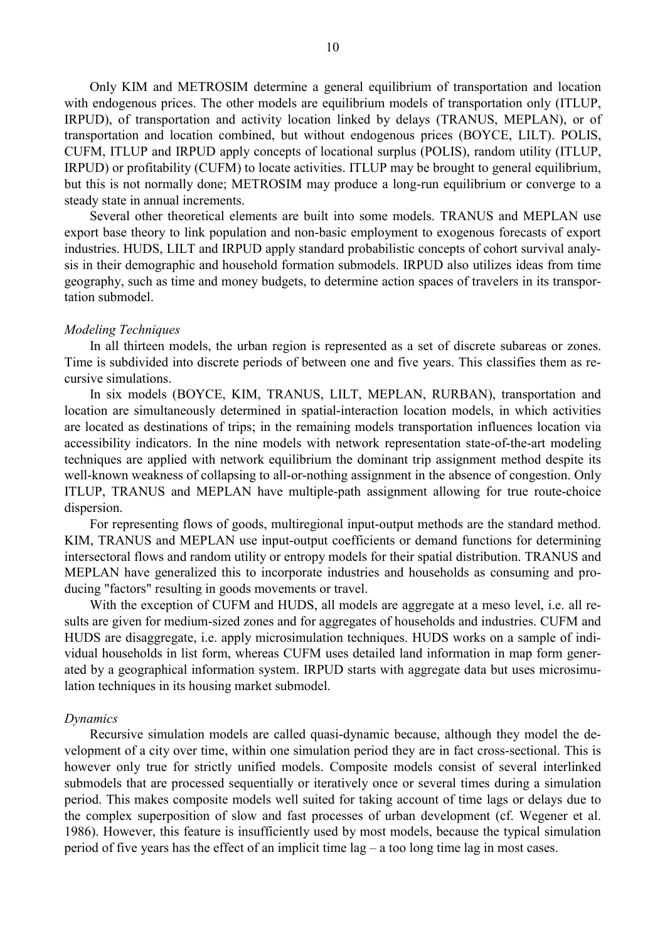Only KIM and METROSIM determine a general equilibrium of transportation and location with endogenous prices. The other models are equilibrium models of transportation only (ITLUP, IRPUD), of transportation and activity location linked by delays (TRANUS, MEPLAN), or of transportation and location combined, but without endogenous prices (BOYCE, LILT). POLIS, CUFM, ITLUP and IRPUD apply concepts of locational surplus (POLIS), random utility (ITLUP, IRPUD) or profitability (CUFM) to locate activities. ITLUP may be brought to general equilibrium, but this is not normally done; METROSIM may produce a long-run equilibrium or converge to a steady state in annual increments.

Several other theoretical elements are built into some models. TRANUS and MEPLAN use export base theory to link population and non-basic employment to exogenous forecasts of export industries. HUDS, LILT and IRPUD apply standard probabilistic concepts of cohort survival analysis in their demographic and household formation submodels. IRPUD also utilizes ideas from time geography, such as time and money budgets, to determine action spaces of travelers in its transportation submodel.

## *Modeling Techniques*

In all thirteen models, the urban region is represented as a set of discrete subareas or zones. Time is subdivided into discrete periods of between one and five years. This classifies them as recursive simulations.

In six models (BOYCE, KIM, TRANUS, LILT, MEPLAN, RURBAN), transportation and location are simultaneously determined in spatial-interaction location models, in which activities are located as destinations of trips; in the remaining models transportation influences location via accessibility indicators. In the nine models with network representation state-of-the-art modeling techniques are applied with network equilibrium the dominant trip assignment method despite its well-known weakness of collapsing to all-or-nothing assignment in the absence of congestion. Only ITLUP, TRANUS and MEPLAN have multiple-path assignment allowing for true route-choice dispersion.

For representing flows of goods, multiregional input-output methods are the standard method. KIM, TRANUS and MEPLAN use input-output coefficients or demand functions for determining intersectoral flows and random utility or entropy models for their spatial distribution. TRANUS and MEPLAN have generalized this to incorporate industries and households as consuming and producing "factors" resulting in goods movements or travel.

With the exception of CUFM and HUDS, all models are aggregate at a meso level, i.e. all results are given for medium-sized zones and for aggregates of households and industries. CUFM and HUDS are disaggregate, i.e. apply microsimulation techniques. HUDS works on a sample of individual households in list form, whereas CUFM uses detailed land information in map form generated by a geographical information system. IRPUD starts with aggregate data but uses microsimulation techniques in its housing market submodel.

#### *Dynamics*

Recursive simulation models are called quasi-dynamic because, although they model the development of a city over time, within one simulation period they are in fact cross-sectional. This is however only true for strictly unified models. Composite models consist of several interlinked submodels that are processed sequentially or iteratively once or several times during a simulation period. This makes composite models well suited for taking account of time lags or delays due to the complex superposition of slow and fast processes of urban development (cf. Wegener et al. 1986). However, this feature is insufficiently used by most models, because the typical simulation period of five years has the effect of an implicit time lag – a too long time lag in most cases.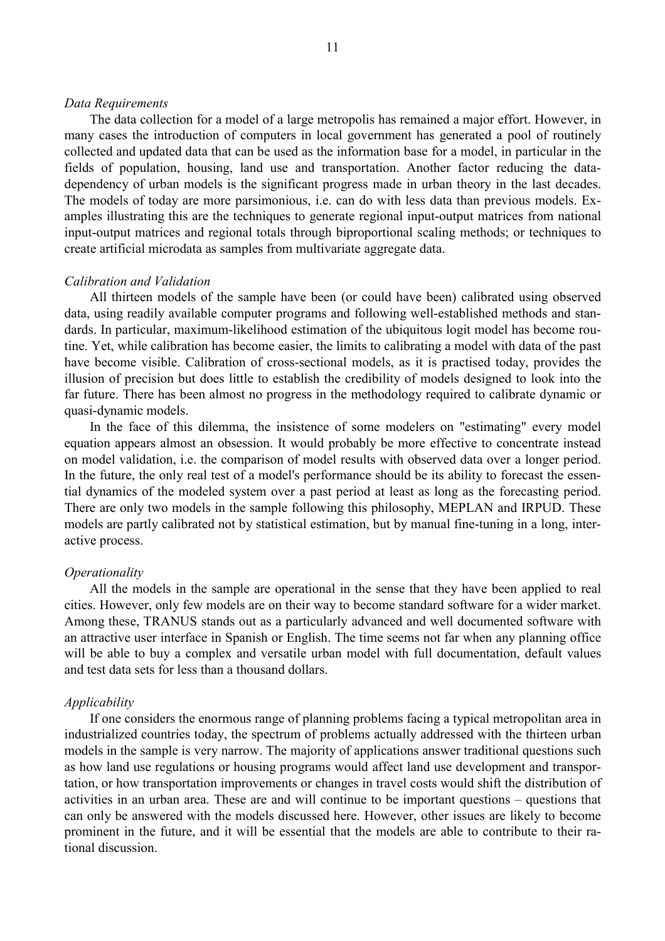# *Data Requirements*

The data collection for a model of a large metropolis has remained a major effort. However, in many cases the introduction of computers in local government has generated a pool of routinely collected and updated data that can be used as the information base for a model, in particular in the fields of population, housing, land use and transportation. Another factor reducing the datadependency of urban models is the significant progress made in urban theory in the last decades. The models of today are more parsimonious, i.e. can do with less data than previous models. Examples illustrating this are the techniques to generate regional input-output matrices from national input-output matrices and regional totals through biproportional scaling methods; or techniques to create artificial microdata as samples from multivariate aggregate data.

### *Calibration and Validation*

All thirteen models of the sample have been (or could have been) calibrated using observed data, using readily available computer programs and following well-established methods and standards. In particular, maximum-likelihood estimation of the ubiquitous logit model has become routine. Yet, while calibration has become easier, the limits to calibrating a model with data of the past have become visible. Calibration of cross-sectional models, as it is practised today, provides the illusion of precision but does little to establish the credibility of models designed to look into the far future. There has been almost no progress in the methodology required to calibrate dynamic or quasi-dynamic models.

In the face of this dilemma, the insistence of some modelers on "estimating" every model equation appears almost an obsession. It would probably be more effective to concentrate instead on model validation, i.e. the comparison of model results with observed data over a longer period. In the future, the only real test of a model's performance should be its ability to forecast the essential dynamics of the modeled system over a past period at least as long as the forecasting period. There are only two models in the sample following this philosophy, MEPLAN and IRPUD. These models are partly calibrated not by statistical estimation, but by manual fine-tuning in a long, interactive process.

### *Operationality*

All the models in the sample are operational in the sense that they have been applied to real cities. However, only few models are on their way to become standard software for a wider market. Among these, TRANUS stands out as a particularly advanced and well documented software with an attractive user interface in Spanish or English. The time seems not far when any planning office will be able to buy a complex and versatile urban model with full documentation, default values and test data sets for less than a thousand dollars.

## *Applicability*

If one considers the enormous range of planning problems facing a typical metropolitan area in industrialized countries today, the spectrum of problems actually addressed with the thirteen urban models in the sample is very narrow. The majority of applications answer traditional questions such as how land use regulations or housing programs would affect land use development and transportation, or how transportation improvements or changes in travel costs would shift the distribution of activities in an urban area. These are and will continue to be important questions – questions that can only be answered with the models discussed here. However, other issues are likely to become prominent in the future, and it will be essential that the models are able to contribute to their rational discussion.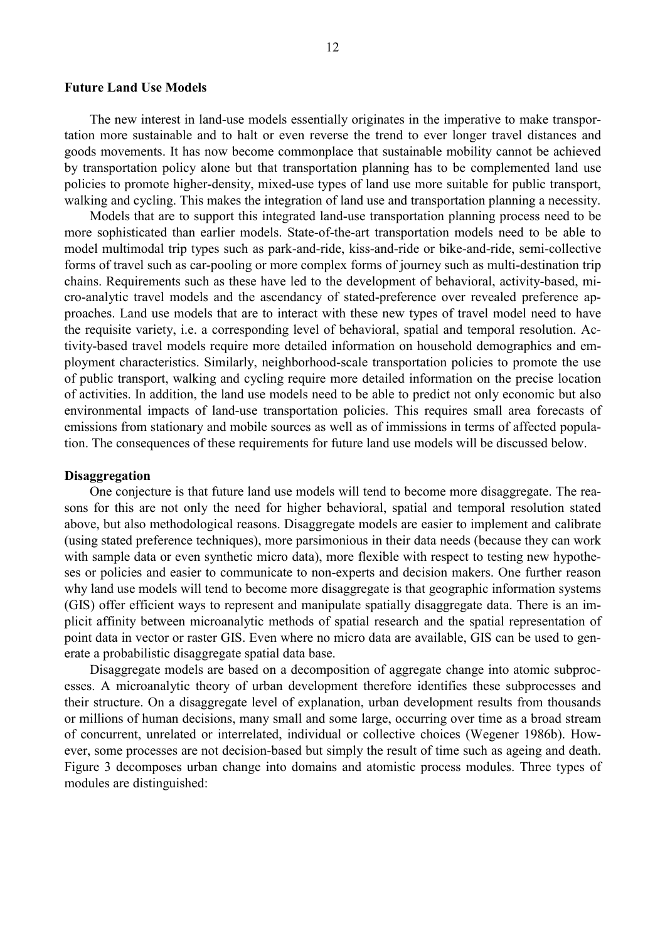#### **Future Land Use Models**

The new interest in land-use models essentially originates in the imperative to make transportation more sustainable and to halt or even reverse the trend to ever longer travel distances and goods movements. It has now become commonplace that sustainable mobility cannot be achieved by transportation policy alone but that transportation planning has to be complemented land use policies to promote higher-density, mixed-use types of land use more suitable for public transport, walking and cycling. This makes the integration of land use and transportation planning a necessity.

Models that are to support this integrated land-use transportation planning process need to be more sophisticated than earlier models. State-of-the-art transportation models need to be able to model multimodal trip types such as park-and-ride, kiss-and-ride or bike-and-ride, semi-collective forms of travel such as car-pooling or more complex forms of journey such as multi-destination trip chains. Requirements such as these have led to the development of behavioral, activity-based, micro-analytic travel models and the ascendancy of stated-preference over revealed preference approaches. Land use models that are to interact with these new types of travel model need to have the requisite variety, i.e. a corresponding level of behavioral, spatial and temporal resolution. Activity-based travel models require more detailed information on household demographics and employment characteristics. Similarly, neighborhood-scale transportation policies to promote the use of public transport, walking and cycling require more detailed information on the precise location of activities. In addition, the land use models need to be able to predict not only economic but also environmental impacts of land-use transportation policies. This requires small area forecasts of emissions from stationary and mobile sources as well as of immissions in terms of affected population. The consequences of these requirements for future land use models will be discussed below.

#### **Disaggregation**

One conjecture is that future land use models will tend to become more disaggregate. The reasons for this are not only the need for higher behavioral, spatial and temporal resolution stated above, but also methodological reasons. Disaggregate models are easier to implement and calibrate (using stated preference techniques), more parsimonious in their data needs (because they can work with sample data or even synthetic micro data), more flexible with respect to testing new hypotheses or policies and easier to communicate to non-experts and decision makers. One further reason why land use models will tend to become more disaggregate is that geographic information systems (GIS) offer efficient ways to represent and manipulate spatially disaggregate data. There is an implicit affinity between microanalytic methods of spatial research and the spatial representation of point data in vector or raster GIS. Even where no micro data are available, GIS can be used to generate a probabilistic disaggregate spatial data base.

Disaggregate models are based on a decomposition of aggregate change into atomic subprocesses. A microanalytic theory of urban development therefore identifies these subprocesses and their structure. On a disaggregate level of explanation, urban development results from thousands or millions of human decisions, many small and some large, occurring over time as a broad stream of concurrent, unrelated or interrelated, individual or collective choices (Wegener 1986b). However, some processes are not decision-based but simply the result of time such as ageing and death. Figure 3 decomposes urban change into domains and atomistic process modules. Three types of modules are distinguished: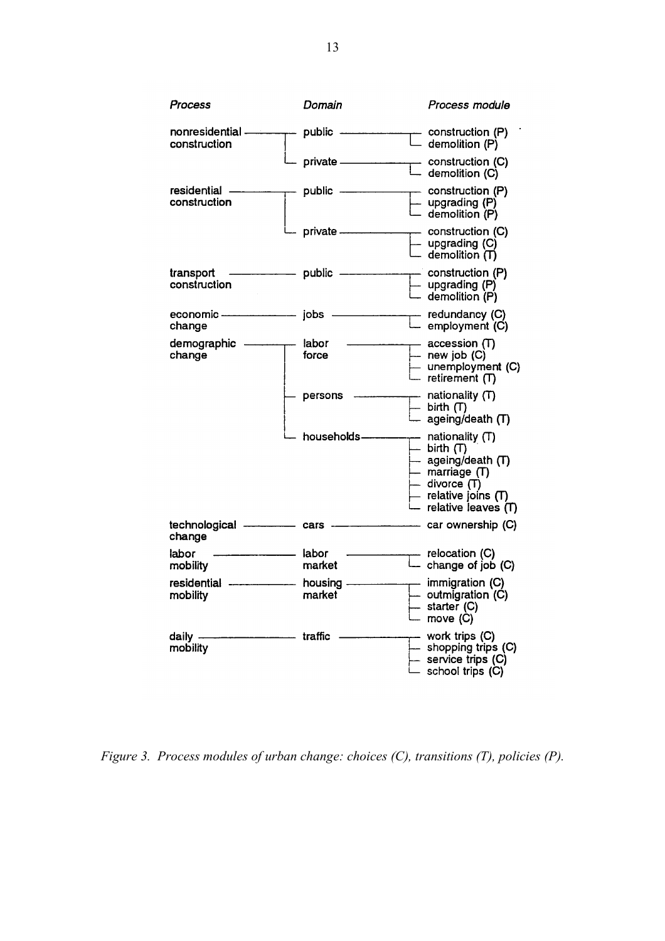

*Figure 3. Process modules of urban change: choices (C), transitions (T), policies (P).*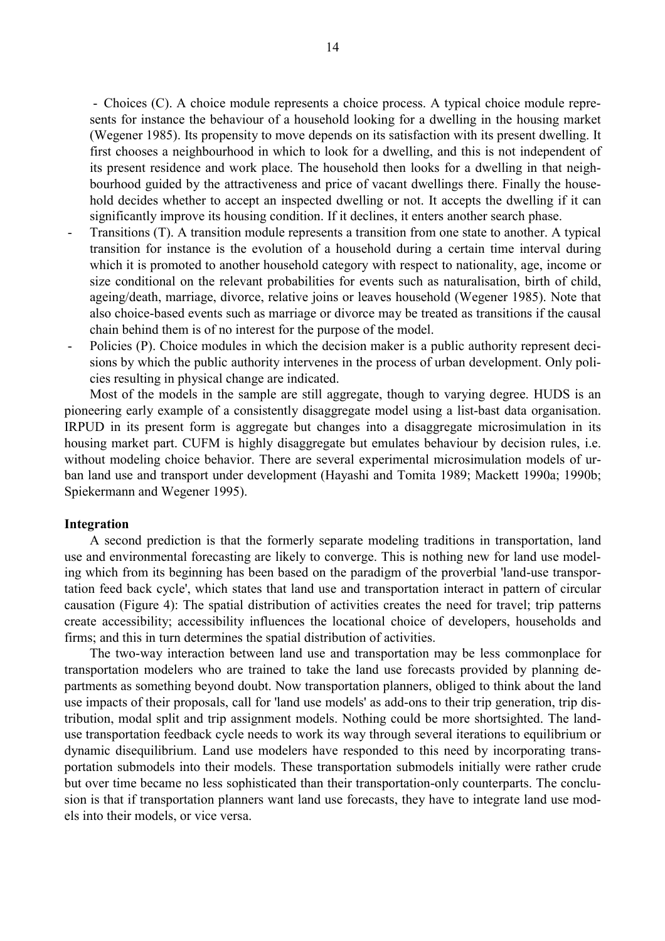- Choices (C). A choice module represents a choice process. A typical choice module represents for instance the behaviour of a household looking for a dwelling in the housing market (Wegener 1985). Its propensity to move depends on its satisfaction with its present dwelling. It first chooses a neighbourhood in which to look for a dwelling, and this is not independent of its present residence and work place. The household then looks for a dwelling in that neighbourhood guided by the attractiveness and price of vacant dwellings there. Finally the household decides whether to accept an inspected dwelling or not. It accepts the dwelling if it can significantly improve its housing condition. If it declines, it enters another search phase.

- Transitions (T). A transition module represents a transition from one state to another. A typical transition for instance is the evolution of a household during a certain time interval during which it is promoted to another household category with respect to nationality, age, income or size conditional on the relevant probabilities for events such as naturalisation, birth of child, ageing/death, marriage, divorce, relative joins or leaves household (Wegener 1985). Note that also choice-based events such as marriage or divorce may be treated as transitions if the causal chain behind them is of no interest for the purpose of the model.
- Policies (P). Choice modules in which the decision maker is a public authority represent decisions by which the public authority intervenes in the process of urban development. Only policies resulting in physical change are indicated.

Most of the models in the sample are still aggregate, though to varying degree. HUDS is an pioneering early example of a consistently disaggregate model using a list-bast data organisation. IRPUD in its present form is aggregate but changes into a disaggregate microsimulation in its housing market part. CUFM is highly disaggregate but emulates behaviour by decision rules, i.e. without modeling choice behavior. There are several experimental microsimulation models of urban land use and transport under development (Hayashi and Tomita 1989; Mackett 1990a; 1990b; Spiekermann and Wegener 1995).

# **Integration**

A second prediction is that the formerly separate modeling traditions in transportation, land use and environmental forecasting are likely to converge. This is nothing new for land use modeling which from its beginning has been based on the paradigm of the proverbial 'land-use transportation feed back cycle', which states that land use and transportation interact in pattern of circular causation (Figure 4): The spatial distribution of activities creates the need for travel; trip patterns create accessibility; accessibility influences the locational choice of developers, households and firms; and this in turn determines the spatial distribution of activities.

The two-way interaction between land use and transportation may be less commonplace for transportation modelers who are trained to take the land use forecasts provided by planning departments as something beyond doubt. Now transportation planners, obliged to think about the land use impacts of their proposals, call for 'land use models' as add-ons to their trip generation, trip distribution, modal split and trip assignment models. Nothing could be more shortsighted. The landuse transportation feedback cycle needs to work its way through several iterations to equilibrium or dynamic disequilibrium. Land use modelers have responded to this need by incorporating transportation submodels into their models. These transportation submodels initially were rather crude but over time became no less sophisticated than their transportation-only counterparts. The conclusion is that if transportation planners want land use forecasts, they have to integrate land use models into their models, or vice versa.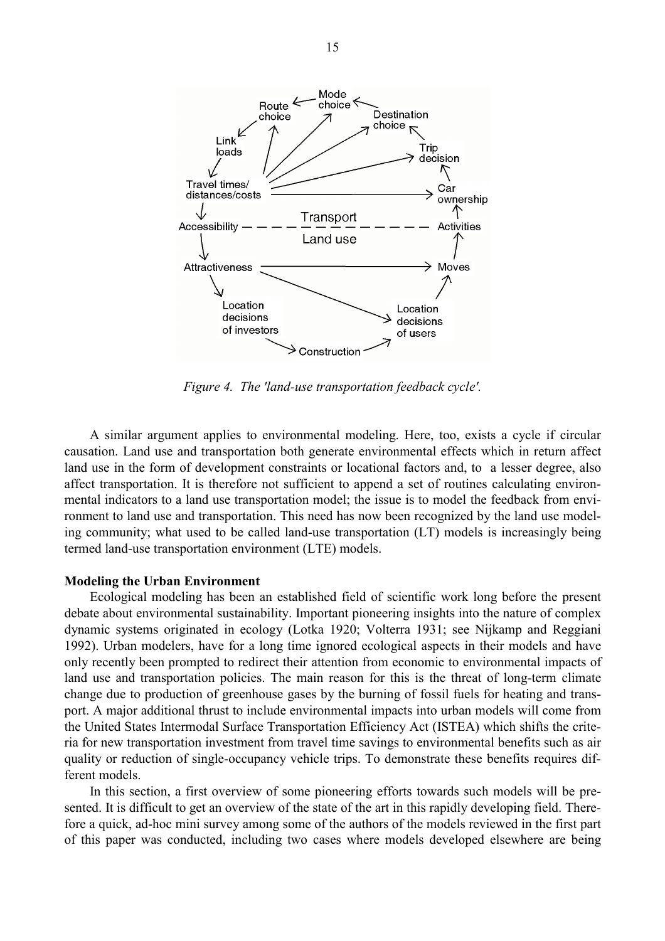

*Figure 4. The 'land-use transportation feedback cycle'.*

A similar argument applies to environmental modeling. Here, too, exists a cycle if circular causation. Land use and transportation both generate environmental effects which in return affect land use in the form of development constraints or locational factors and, to a lesser degree, also affect transportation. It is therefore not sufficient to append a set of routines calculating environmental indicators to a land use transportation model; the issue is to model the feedback from environment to land use and transportation. This need has now been recognized by the land use modeling community; what used to be called land-use transportation (LT) models is increasingly being termed land-use transportation environment (LTE) models.

# **Modeling the Urban Environment**

Ecological modeling has been an established field of scientific work long before the present debate about environmental sustainability. Important pioneering insights into the nature of complex dynamic systems originated in ecology (Lotka 1920; Volterra 1931; see Nijkamp and Reggiani 1992). Urban modelers, have for a long time ignored ecological aspects in their models and have only recently been prompted to redirect their attention from economic to environmental impacts of land use and transportation policies. The main reason for this is the threat of long-term climate change due to production of greenhouse gases by the burning of fossil fuels for heating and transport. A major additional thrust to include environmental impacts into urban models will come from the United States Intermodal Surface Transportation Efficiency Act (ISTEA) which shifts the criteria for new transportation investment from travel time savings to environmental benefits such as air quality or reduction of single-occupancy vehicle trips. To demonstrate these benefits requires different models.

In this section, a first overview of some pioneering efforts towards such models will be presented. It is difficult to get an overview of the state of the art in this rapidly developing field. Therefore a quick, ad-hoc mini survey among some of the authors of the models reviewed in the first part of this paper was conducted, including two cases where models developed elsewhere are being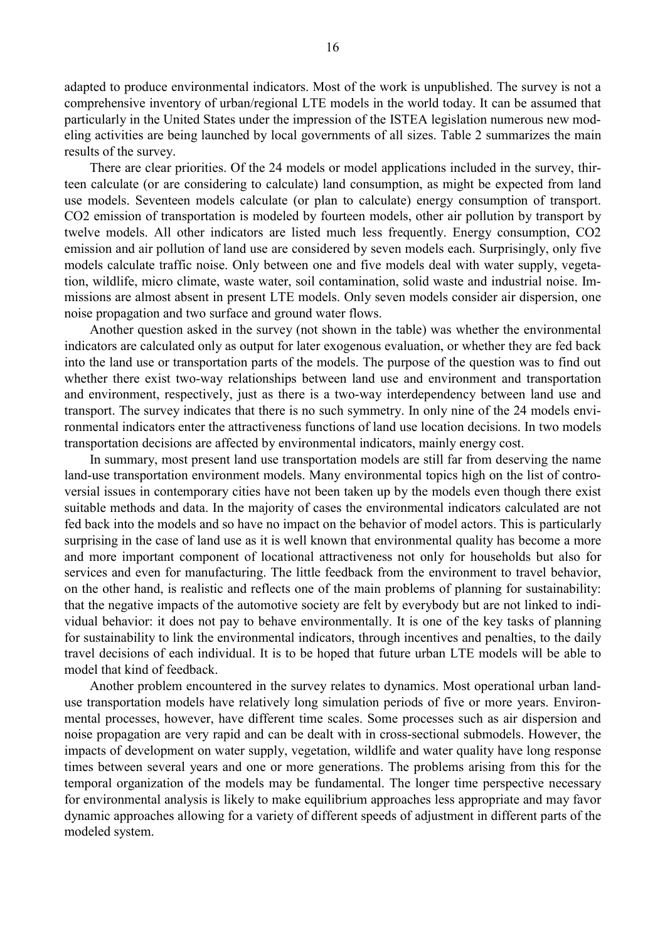adapted to produce environmental indicators. Most of the work is unpublished. The survey is not a comprehensive inventory of urban/regional LTE models in the world today. It can be assumed that particularly in the United States under the impression of the ISTEA legislation numerous new modeling activities are being launched by local governments of all sizes. Table 2 summarizes the main results of the survey.

There are clear priorities. Of the 24 models or model applications included in the survey, thirteen calculate (or are considering to calculate) land consumption, as might be expected from land use models. Seventeen models calculate (or plan to calculate) energy consumption of transport. CO2 emission of transportation is modeled by fourteen models, other air pollution by transport by twelve models. All other indicators are listed much less frequently. Energy consumption, CO2 emission and air pollution of land use are considered by seven models each. Surprisingly, only five models calculate traffic noise. Only between one and five models deal with water supply, vegetation, wildlife, micro climate, waste water, soil contamination, solid waste and industrial noise. Immissions are almost absent in present LTE models. Only seven models consider air dispersion, one noise propagation and two surface and ground water flows.

Another question asked in the survey (not shown in the table) was whether the environmental indicators are calculated only as output for later exogenous evaluation, or whether they are fed back into the land use or transportation parts of the models. The purpose of the question was to find out whether there exist two-way relationships between land use and environment and transportation and environment, respectively, just as there is a two-way interdependency between land use and transport. The survey indicates that there is no such symmetry. In only nine of the 24 models environmental indicators enter the attractiveness functions of land use location decisions. In two models transportation decisions are affected by environmental indicators, mainly energy cost.

In summary, most present land use transportation models are still far from deserving the name land-use transportation environment models. Many environmental topics high on the list of controversial issues in contemporary cities have not been taken up by the models even though there exist suitable methods and data. In the majority of cases the environmental indicators calculated are not fed back into the models and so have no impact on the behavior of model actors. This is particularly surprising in the case of land use as it is well known that environmental quality has become a more and more important component of locational attractiveness not only for households but also for services and even for manufacturing. The little feedback from the environment to travel behavior, on the other hand, is realistic and reflects one of the main problems of planning for sustainability: that the negative impacts of the automotive society are felt by everybody but are not linked to individual behavior: it does not pay to behave environmentally. It is one of the key tasks of planning for sustainability to link the environmental indicators, through incentives and penalties, to the daily travel decisions of each individual. It is to be hoped that future urban LTE models will be able to model that kind of feedback.

Another problem encountered in the survey relates to dynamics. Most operational urban landuse transportation models have relatively long simulation periods of five or more years. Environmental processes, however, have different time scales. Some processes such as air dispersion and noise propagation are very rapid and can be dealt with in cross-sectional submodels. However, the impacts of development on water supply, vegetation, wildlife and water quality have long response times between several years and one or more generations. The problems arising from this for the temporal organization of the models may be fundamental. The longer time perspective necessary for environmental analysis is likely to make equilibrium approaches less appropriate and may favor dynamic approaches allowing for a variety of different speeds of adjustment in different parts of the modeled system.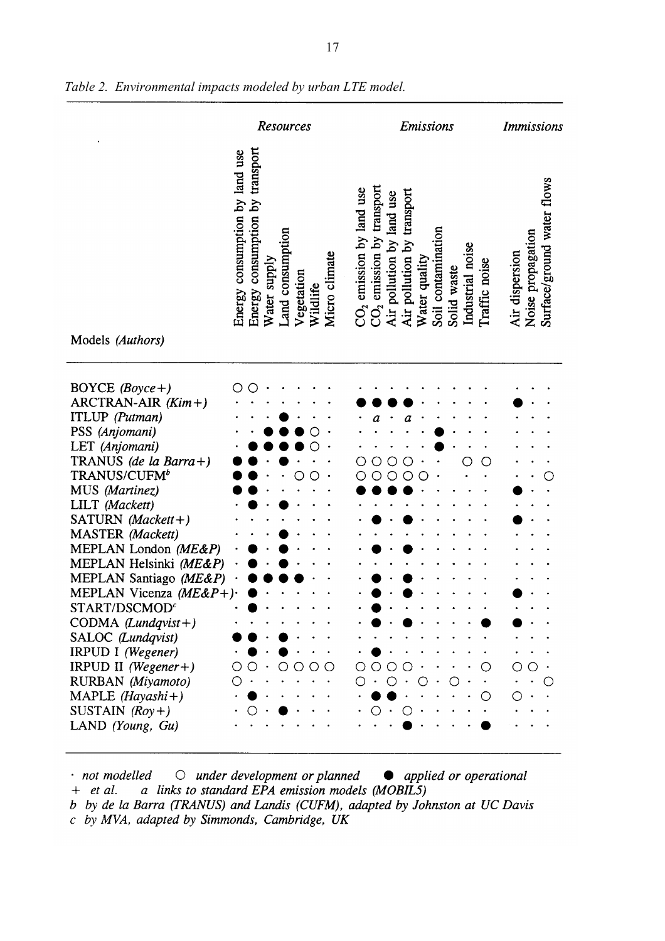|                                                                                                                                                                                                                                                                                                                                                                                                                                                                                                                                                      | <b>Resources</b>                                                                                                                                    | Emissions                                                                                                                                                                                                             | <b>Immissions</b>                                                 |
|------------------------------------------------------------------------------------------------------------------------------------------------------------------------------------------------------------------------------------------------------------------------------------------------------------------------------------------------------------------------------------------------------------------------------------------------------------------------------------------------------------------------------------------------------|-----------------------------------------------------------------------------------------------------------------------------------------------------|-----------------------------------------------------------------------------------------------------------------------------------------------------------------------------------------------------------------------|-------------------------------------------------------------------|
| Models (Authors)                                                                                                                                                                                                                                                                                                                                                                                                                                                                                                                                     | transport<br>Energy consumption by land use<br>Energy consumption by<br>Land consumption<br>Micro climate<br>Water supply<br>Vegetation<br>Wildlife | transport<br>$CO2$ emission by land use<br>transport<br>Air pollution by land use<br>Soil contamination<br>$CO2$ emission by<br>Air pollution by<br>Industrial noise<br>Water quality<br>Traffic noise<br>Solid waste | Surface/ground water flows<br>Noise propagation<br>Air dispersion |
| BOYCE $(Boyce+)$<br>$ARCTRAN-AIR(Kim+)$<br>ITLUP (Putman)<br>PSS (Anjomani)<br>LET (Anjomani)<br>TRANUS (de la Barra+)<br>TRANUS/CUFM <sup>b</sup><br>MUS (Martinez)<br>LILT (Mackett)<br>SATURN (Mackett+)<br>MASTER (Mackett)<br>MEPLAN London (ME&P)<br>MEPLAN Helsinki (ME&P)<br>MEPLAN Santiago (ME&P)<br>MEPLAN Vicenza ( $ME\&P+$ ).<br>START/DSCMOD <sup>c</sup><br>CODMA $(Lundqvist+)$<br>SALOC (Lundqvist)<br>IRPUD I (Wegener)<br>IRPUD II (Wegener+)<br>RURBAN (Miyamoto)<br>MAPLE $(Hayashi+)$<br>SUSTAIN $(Roy+)$<br>LAND (Young, Gu) | О<br>$\circ \circ \circ$<br>O<br>$\bigcirc$<br>O<br>$() \cdot$<br>$\blacksquare$                                                                    | ∩<br>0000<br>Ω<br>$\circ \cdot \circ$<br>$\sim$<br>$\bigcirc$<br>O<br>$\bullet$<br>$\bullet$ .<br>O<br>$\cdot$ 0 $\cdot$ 0 $\cdot$ $\cdot$                                                                            | ◯<br>$\bigcirc$<br>$\circ$                                        |

*Table 2. Environmental impacts modeled by urban LTE model.*

 $\circlearrowright$  under development or planned · not modelled • applied or operational  $+$  et al. a links to standard EPA emission models (MOBIL5) b by de la Barra (TRANUS) and Landis (CUFM), adapted by Johnston at UC Davis<br>c by MVA, adapted by Simmonds, Cambridge, UK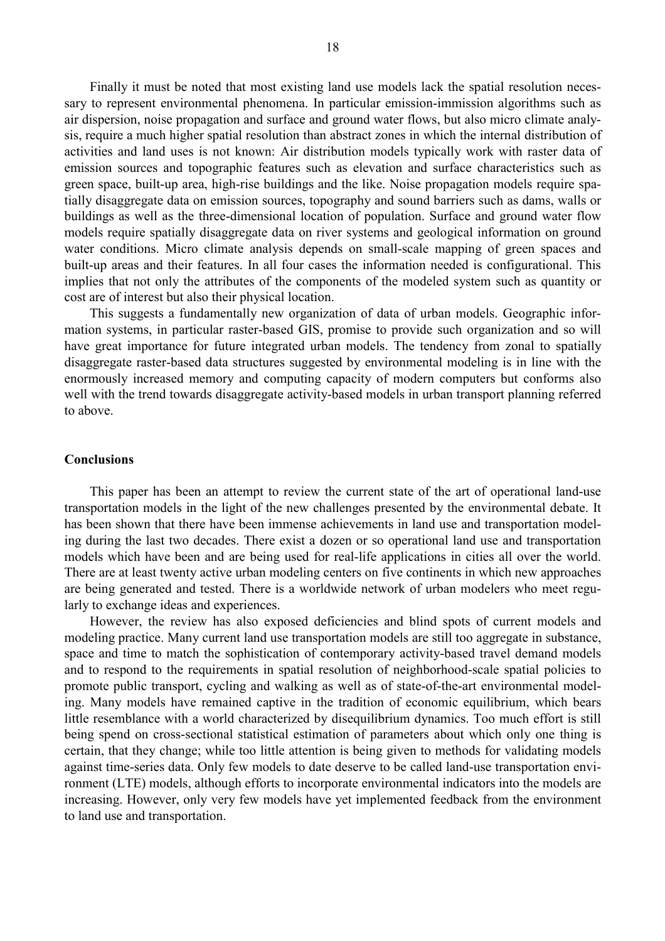Finally it must be noted that most existing land use models lack the spatial resolution necessary to represent environmental phenomena. In particular emission-immission algorithms such as air dispersion, noise propagation and surface and ground water flows, but also micro climate analysis, require a much higher spatial resolution than abstract zones in which the internal distribution of activities and land uses is not known: Air distribution models typically work with raster data of emission sources and topographic features such as elevation and surface characteristics such as green space, built-up area, high-rise buildings and the like. Noise propagation models require spatially disaggregate data on emission sources, topography and sound barriers such as dams, walls or buildings as well as the three-dimensional location of population. Surface and ground water flow models require spatially disaggregate data on river systems and geological information on ground water conditions. Micro climate analysis depends on small-scale mapping of green spaces and built-up areas and their features. In all four cases the information needed is configurational. This implies that not only the attributes of the components of the modeled system such as quantity or cost are of interest but also their physical location.

This suggests a fundamentally new organization of data of urban models. Geographic information systems, in particular raster-based GIS, promise to provide such organization and so will have great importance for future integrated urban models. The tendency from zonal to spatially disaggregate raster-based data structures suggested by environmental modeling is in line with the enormously increased memory and computing capacity of modern computers but conforms also well with the trend towards disaggregate activity-based models in urban transport planning referred to above.

## **Conclusions**

This paper has been an attempt to review the current state of the art of operational land-use transportation models in the light of the new challenges presented by the environmental debate. It has been shown that there have been immense achievements in land use and transportation modeling during the last two decades. There exist a dozen or so operational land use and transportation models which have been and are being used for real-life applications in cities all over the world. There are at least twenty active urban modeling centers on five continents in which new approaches are being generated and tested. There is a worldwide network of urban modelers who meet regularly to exchange ideas and experiences.

However, the review has also exposed deficiencies and blind spots of current models and modeling practice. Many current land use transportation models are still too aggregate in substance, space and time to match the sophistication of contemporary activity-based travel demand models and to respond to the requirements in spatial resolution of neighborhood-scale spatial policies to promote public transport, cycling and walking as well as of state-of-the-art environmental modeling. Many models have remained captive in the tradition of economic equilibrium, which bears little resemblance with a world characterized by disequilibrium dynamics. Too much effort is still being spend on cross-sectional statistical estimation of parameters about which only one thing is certain, that they change; while too little attention is being given to methods for validating models against time-series data. Only few models to date deserve to be called land-use transportation environment (LTE) models, although efforts to incorporate environmental indicators into the models are increasing. However, only very few models have yet implemented feedback from the environment to land use and transportation.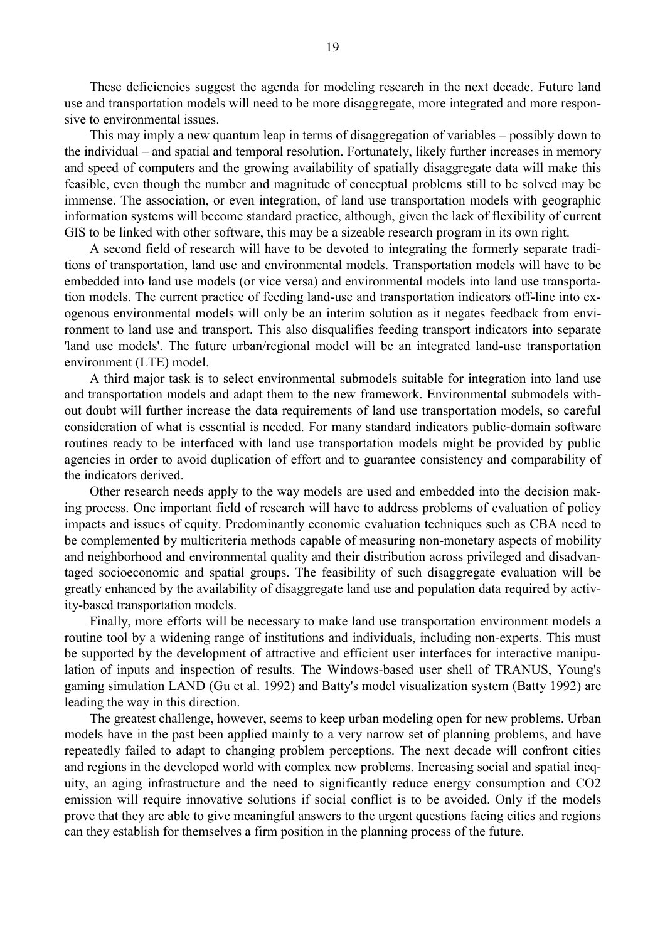These deficiencies suggest the agenda for modeling research in the next decade. Future land use and transportation models will need to be more disaggregate, more integrated and more responsive to environmental issues.

This may imply a new quantum leap in terms of disaggregation of variables – possibly down to the individual – and spatial and temporal resolution. Fortunately, likely further increases in memory and speed of computers and the growing availability of spatially disaggregate data will make this feasible, even though the number and magnitude of conceptual problems still to be solved may be immense. The association, or even integration, of land use transportation models with geographic information systems will become standard practice, although, given the lack of flexibility of current GIS to be linked with other software, this may be a sizeable research program in its own right.

A second field of research will have to be devoted to integrating the formerly separate traditions of transportation, land use and environmental models. Transportation models will have to be embedded into land use models (or vice versa) and environmental models into land use transportation models. The current practice of feeding land-use and transportation indicators off-line into exogenous environmental models will only be an interim solution as it negates feedback from environment to land use and transport. This also disqualifies feeding transport indicators into separate 'land use models'. The future urban/regional model will be an integrated land-use transportation environment (LTE) model.

A third major task is to select environmental submodels suitable for integration into land use and transportation models and adapt them to the new framework. Environmental submodels without doubt will further increase the data requirements of land use transportation models, so careful consideration of what is essential is needed. For many standard indicators public-domain software routines ready to be interfaced with land use transportation models might be provided by public agencies in order to avoid duplication of effort and to guarantee consistency and comparability of the indicators derived.

Other research needs apply to the way models are used and embedded into the decision making process. One important field of research will have to address problems of evaluation of policy impacts and issues of equity. Predominantly economic evaluation techniques such as CBA need to be complemented by multicriteria methods capable of measuring non-monetary aspects of mobility and neighborhood and environmental quality and their distribution across privileged and disadvantaged socioeconomic and spatial groups. The feasibility of such disaggregate evaluation will be greatly enhanced by the availability of disaggregate land use and population data required by activity-based transportation models.

Finally, more efforts will be necessary to make land use transportation environment models a routine tool by a widening range of institutions and individuals, including non-experts. This must be supported by the development of attractive and efficient user interfaces for interactive manipulation of inputs and inspection of results. The Windows-based user shell of TRANUS, Young's gaming simulation LAND (Gu et al. 1992) and Batty's model visualization system (Batty 1992) are leading the way in this direction.

The greatest challenge, however, seems to keep urban modeling open for new problems. Urban models have in the past been applied mainly to a very narrow set of planning problems, and have repeatedly failed to adapt to changing problem perceptions. The next decade will confront cities and regions in the developed world with complex new problems. Increasing social and spatial inequity, an aging infrastructure and the need to significantly reduce energy consumption and CO2 emission will require innovative solutions if social conflict is to be avoided. Only if the models prove that they are able to give meaningful answers to the urgent questions facing cities and regions can they establish for themselves a firm position in the planning process of the future.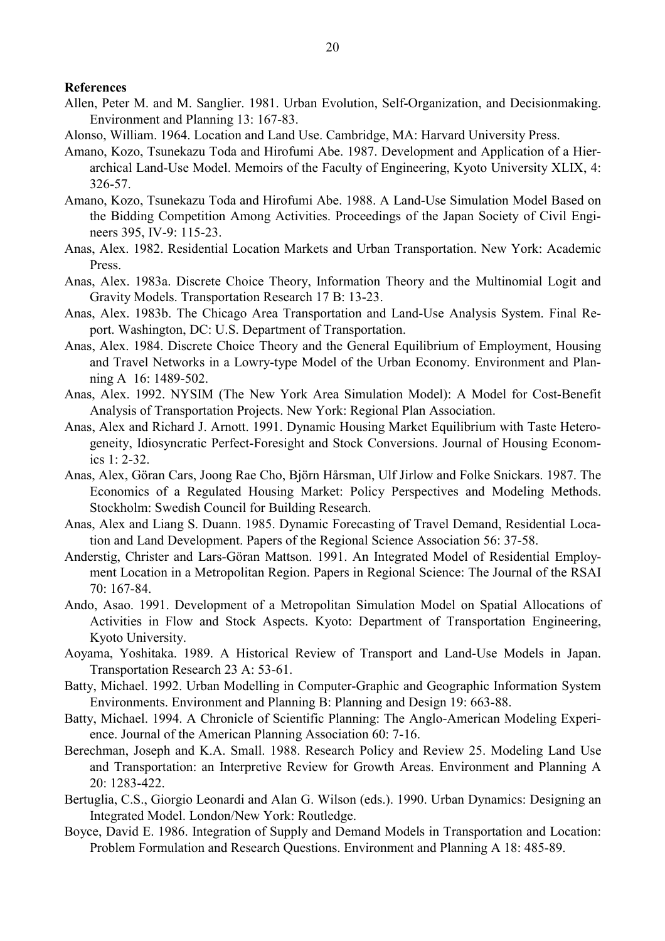# **References**

- Allen, Peter M. and M. Sanglier. 1981. Urban Evolution, Self-Organization, and Decisionmaking. Environment and Planning 13: 167-83.
- Alonso, William. 1964. Location and Land Use. Cambridge, MA: Harvard University Press.
- Amano, Kozo, Tsunekazu Toda and Hirofumi Abe. 1987. Development and Application of a Hierarchical Land-Use Model. Memoirs of the Faculty of Engineering, Kyoto University XLIX, 4: 326-57.
- Amano, Kozo, Tsunekazu Toda and Hirofumi Abe. 1988. A Land-Use Simulation Model Based on the Bidding Competition Among Activities. Proceedings of the Japan Society of Civil Engineers 395, IV-9: 115-23.
- Anas, Alex. 1982. Residential Location Markets and Urban Transportation. New York: Academic Press.
- Anas, Alex. 1983a. Discrete Choice Theory, Information Theory and the Multinomial Logit and Gravity Models. Transportation Research 17 B: 13-23.
- Anas, Alex. 1983b. The Chicago Area Transportation and Land-Use Analysis System. Final Report. Washington, DC: U.S. Department of Transportation.
- Anas, Alex. 1984. Discrete Choice Theory and the General Equilibrium of Employment, Housing and Travel Networks in a Lowry-type Model of the Urban Economy. Environment and Planning A 16: 1489-502.
- Anas, Alex. 1992. NYSIM (The New York Area Simulation Model): A Model for Cost-Benefit Analysis of Transportation Projects. New York: Regional Plan Association.
- Anas, Alex and Richard J. Arnott. 1991. Dynamic Housing Market Equilibrium with Taste Heterogeneity, Idiosyncratic Perfect-Foresight and Stock Conversions. Journal of Housing Economics 1: 2-32.
- Anas, Alex, Göran Cars, Joong Rae Cho, Björn Hårsman, Ulf Jirlow and Folke Snickars. 1987. The Economics of a Regulated Housing Market: Policy Perspectives and Modeling Methods. Stockholm: Swedish Council for Building Research.
- Anas, Alex and Liang S. Duann. 1985. Dynamic Forecasting of Travel Demand, Residential Location and Land Development. Papers of the Regional Science Association 56: 37-58.
- Anderstig, Christer and Lars-Göran Mattson. 1991. An Integrated Model of Residential Employment Location in a Metropolitan Region. Papers in Regional Science: The Journal of the RSAI 70: 167-84.
- Ando, Asao. 1991. Development of a Metropolitan Simulation Model on Spatial Allocations of Activities in Flow and Stock Aspects. Kyoto: Department of Transportation Engineering, Kyoto University.
- Aoyama, Yoshitaka. 1989. A Historical Review of Transport and Land-Use Models in Japan. Transportation Research 23 A: 53-61.
- Batty, Michael. 1992. Urban Modelling in Computer-Graphic and Geographic Information System Environments. Environment and Planning B: Planning and Design 19: 663-88.
- Batty, Michael. 1994. A Chronicle of Scientific Planning: The Anglo-American Modeling Experience. Journal of the American Planning Association 60: 7-16.
- Berechman, Joseph and K.A. Small. 1988. Research Policy and Review 25. Modeling Land Use and Transportation: an Interpretive Review for Growth Areas. Environment and Planning A 20: 1283-422.
- Bertuglia, C.S., Giorgio Leonardi and Alan G. Wilson (eds.). 1990. Urban Dynamics: Designing an Integrated Model. London/New York: Routledge.
- Boyce, David E. 1986. Integration of Supply and Demand Models in Transportation and Location: Problem Formulation and Research Questions. Environment and Planning A 18: 485-89.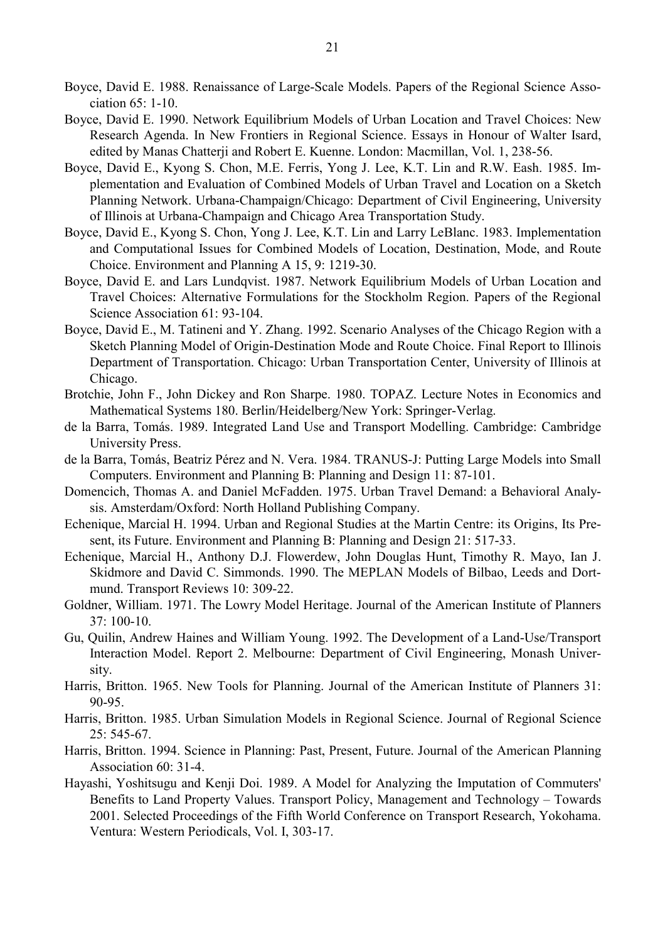- Boyce, David E. 1988. Renaissance of Large-Scale Models. Papers of the Regional Science Association 65: 1-10.
- Boyce, David E. 1990. Network Equilibrium Models of Urban Location and Travel Choices: New Research Agenda. In New Frontiers in Regional Science. Essays in Honour of Walter Isard, edited by Manas Chatterji and Robert E. Kuenne. London: Macmillan, Vol. 1, 238-56.
- Boyce, David E., Kyong S. Chon, M.E. Ferris, Yong J. Lee, K.T. Lin and R.W. Eash. 1985. Implementation and Evaluation of Combined Models of Urban Travel and Location on a Sketch Planning Network. Urbana-Champaign/Chicago: Department of Civil Engineering, University of Illinois at Urbana-Champaign and Chicago Area Transportation Study.
- Boyce, David E., Kyong S. Chon, Yong J. Lee, K.T. Lin and Larry LeBlanc. 1983. Implementation and Computational Issues for Combined Models of Location, Destination, Mode, and Route Choice. Environment and Planning A 15, 9: 1219-30.
- Boyce, David E. and Lars Lundqvist. 1987. Network Equilibrium Models of Urban Location and Travel Choices: Alternative Formulations for the Stockholm Region. Papers of the Regional Science Association 61: 93-104.
- Boyce, David E., M. Tatineni and Y. Zhang. 1992. Scenario Analyses of the Chicago Region with a Sketch Planning Model of Origin-Destination Mode and Route Choice. Final Report to Illinois Department of Transportation. Chicago: Urban Transportation Center, University of Illinois at Chicago.
- Brotchie, John F., John Dickey and Ron Sharpe. 1980. TOPAZ. Lecture Notes in Economics and Mathematical Systems 180. Berlin/Heidelberg/New York: Springer-Verlag.
- de la Barra, Tomás. 1989. Integrated Land Use and Transport Modelling. Cambridge: Cambridge University Press.
- de la Barra, Tomás, Beatriz Pérez and N. Vera. 1984. TRANUS-J: Putting Large Models into Small Computers. Environment and Planning B: Planning and Design 11: 87-101.
- Domencich, Thomas A. and Daniel McFadden. 1975. Urban Travel Demand: a Behavioral Analysis. Amsterdam/Oxford: North Holland Publishing Company.
- Echenique, Marcial H. 1994. Urban and Regional Studies at the Martin Centre: its Origins, Its Present, its Future. Environment and Planning B: Planning and Design 21: 517-33.
- Echenique, Marcial H., Anthony D.J. Flowerdew, John Douglas Hunt, Timothy R. Mayo, Ian J. Skidmore and David C. Simmonds. 1990. The MEPLAN Models of Bilbao, Leeds and Dortmund. Transport Reviews 10: 309-22.
- Goldner, William. 1971. The Lowry Model Heritage. Journal of the American Institute of Planners 37: 100-10.
- Gu, Quilin, Andrew Haines and William Young. 1992. The Development of a Land-Use/Transport Interaction Model. Report 2. Melbourne: Department of Civil Engineering, Monash University.
- Harris, Britton. 1965. New Tools for Planning. Journal of the American Institute of Planners 31: 90-95.
- Harris, Britton. 1985. Urban Simulation Models in Regional Science. Journal of Regional Science 25: 545-67.
- Harris, Britton. 1994. Science in Planning: Past, Present, Future. Journal of the American Planning Association 60: 31-4.
- Hayashi, Yoshitsugu and Kenji Doi. 1989. A Model for Analyzing the Imputation of Commuters' Benefits to Land Property Values. Transport Policy, Management and Technology – Towards 2001. Selected Proceedings of the Fifth World Conference on Transport Research, Yokohama. Ventura: Western Periodicals, Vol. I, 303-17.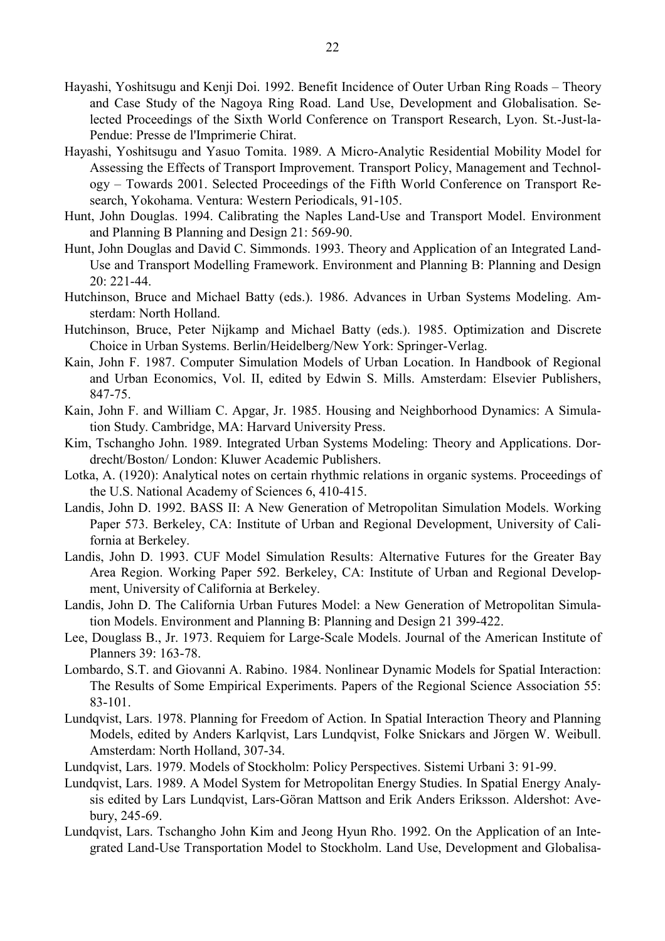- Hayashi, Yoshitsugu and Kenji Doi. 1992. Benefit Incidence of Outer Urban Ring Roads Theory and Case Study of the Nagoya Ring Road. Land Use, Development and Globalisation. Selected Proceedings of the Sixth World Conference on Transport Research, Lyon. St.-Just-la-Pendue: Presse de l'Imprimerie Chirat.
- Hayashi, Yoshitsugu and Yasuo Tomita. 1989. A Micro-Analytic Residential Mobility Model for Assessing the Effects of Transport Improvement. Transport Policy, Management and Technology – Towards 2001. Selected Proceedings of the Fifth World Conference on Transport Research, Yokohama. Ventura: Western Periodicals, 91-105.
- Hunt, John Douglas. 1994. Calibrating the Naples Land-Use and Transport Model. Environment and Planning B Planning and Design 21: 569-90.
- Hunt, John Douglas and David C. Simmonds. 1993. Theory and Application of an Integrated Land-Use and Transport Modelling Framework. Environment and Planning B: Planning and Design 20: 221-44.
- Hutchinson, Bruce and Michael Batty (eds.). 1986. Advances in Urban Systems Modeling. Amsterdam: North Holland.
- Hutchinson, Bruce, Peter Nijkamp and Michael Batty (eds.). 1985. Optimization and Discrete Choice in Urban Systems. Berlin/Heidelberg/New York: Springer-Verlag.
- Kain, John F. 1987. Computer Simulation Models of Urban Location. In Handbook of Regional and Urban Economics, Vol. II, edited by Edwin S. Mills. Amsterdam: Elsevier Publishers, 847-75.
- Kain, John F. and William C. Apgar, Jr. 1985. Housing and Neighborhood Dynamics: A Simulation Study. Cambridge, MA: Harvard University Press.
- Kim, Tschangho John. 1989. Integrated Urban Systems Modeling: Theory and Applications. Dordrecht/Boston/ London: Kluwer Academic Publishers.
- Lotka, A. (1920): Analytical notes on certain rhythmic relations in organic systems. Proceedings of the U.S. National Academy of Sciences 6, 410-415.
- Landis, John D. 1992. BASS II: A New Generation of Metropolitan Simulation Models. Working Paper 573. Berkeley, CA: Institute of Urban and Regional Development, University of California at Berkeley.
- Landis, John D. 1993. CUF Model Simulation Results: Alternative Futures for the Greater Bay Area Region. Working Paper 592. Berkeley, CA: Institute of Urban and Regional Development, University of California at Berkeley.
- Landis, John D. The California Urban Futures Model: a New Generation of Metropolitan Simulation Models. Environment and Planning B: Planning and Design 21 399-422.
- Lee, Douglass B., Jr. 1973. Requiem for Large-Scale Models. Journal of the American Institute of Planners 39: 163-78.
- Lombardo, S.T. and Giovanni A. Rabino. 1984. Nonlinear Dynamic Models for Spatial Interaction: The Results of Some Empirical Experiments. Papers of the Regional Science Association 55: 83-101.
- Lundqvist, Lars. 1978. Planning for Freedom of Action. In Spatial Interaction Theory and Planning Models, edited by Anders Karlqvist, Lars Lundqvist, Folke Snickars and Jörgen W. Weibull. Amsterdam: North Holland, 307-34.
- Lundqvist, Lars. 1979. Models of Stockholm: Policy Perspectives. Sistemi Urbani 3: 91-99.
- Lundqvist, Lars. 1989. A Model System for Metropolitan Energy Studies. In Spatial Energy Analysis edited by Lars Lundqvist, Lars-Göran Mattson and Erik Anders Eriksson. Aldershot: Avebury, 245-69.
- Lundqvist, Lars. Tschangho John Kim and Jeong Hyun Rho. 1992. On the Application of an Integrated Land-Use Transportation Model to Stockholm. Land Use, Development and Globalisa-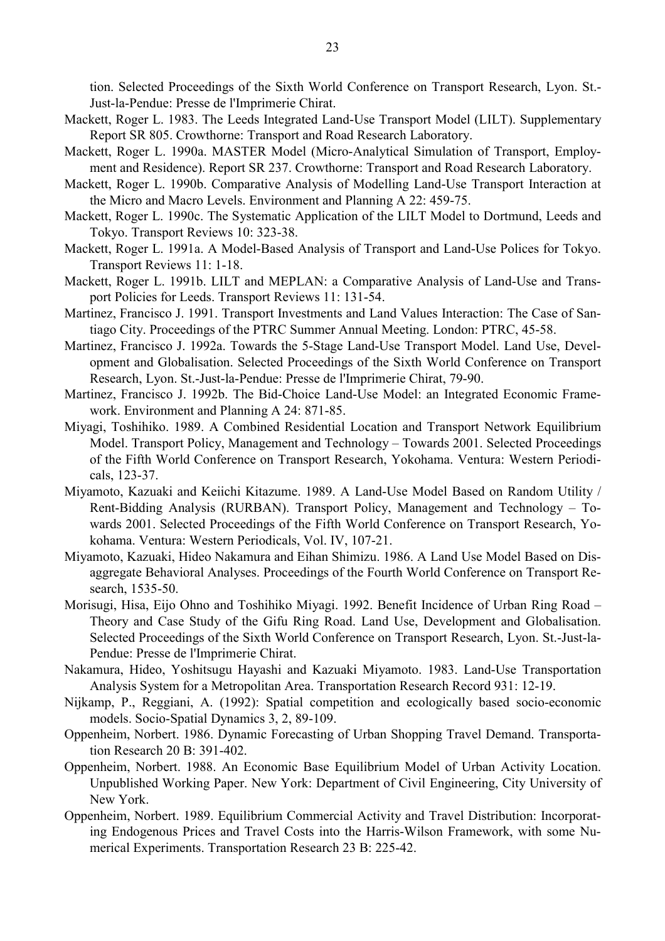tion. Selected Proceedings of the Sixth World Conference on Transport Research, Lyon. St.- Just-la-Pendue: Presse de l'Imprimerie Chirat.

- Mackett, Roger L. 1983. The Leeds Integrated Land-Use Transport Model (LILT). Supplementary Report SR 805. Crowthorne: Transport and Road Research Laboratory.
- Mackett, Roger L. 1990a. MASTER Model (Micro-Analytical Simulation of Transport, Employment and Residence). Report SR 237. Crowthorne: Transport and Road Research Laboratory.
- Mackett, Roger L. 1990b. Comparative Analysis of Modelling Land-Use Transport Interaction at the Micro and Macro Levels. Environment and Planning A 22: 459-75.
- Mackett, Roger L. 1990c. The Systematic Application of the LILT Model to Dortmund, Leeds and Tokyo. Transport Reviews 10: 323-38.
- Mackett, Roger L. 1991a. A Model-Based Analysis of Transport and Land-Use Polices for Tokyo. Transport Reviews 11: 1-18.
- Mackett, Roger L. 1991b. LILT and MEPLAN: a Comparative Analysis of Land-Use and Transport Policies for Leeds. Transport Reviews 11: 131-54.
- Martinez, Francisco J. 1991. Transport Investments and Land Values Interaction: The Case of Santiago City. Proceedings of the PTRC Summer Annual Meeting. London: PTRC, 45-58.
- Martinez, Francisco J. 1992a. Towards the 5-Stage Land-Use Transport Model. Land Use, Development and Globalisation. Selected Proceedings of the Sixth World Conference on Transport Research, Lyon. St.-Just-la-Pendue: Presse de l'Imprimerie Chirat, 79-90.
- Martinez, Francisco J. 1992b. The Bid-Choice Land-Use Model: an Integrated Economic Framework. Environment and Planning A 24: 871-85.
- Miyagi, Toshihiko. 1989. A Combined Residential Location and Transport Network Equilibrium Model. Transport Policy, Management and Technology – Towards 2001. Selected Proceedings of the Fifth World Conference on Transport Research, Yokohama. Ventura: Western Periodicals, 123-37.
- Miyamoto, Kazuaki and Keiichi Kitazume. 1989. A Land-Use Model Based on Random Utility / Rent-Bidding Analysis (RURBAN). Transport Policy, Management and Technology – Towards 2001. Selected Proceedings of the Fifth World Conference on Transport Research, Yokohama. Ventura: Western Periodicals, Vol. IV, 107-21.
- Miyamoto, Kazuaki, Hideo Nakamura and Eihan Shimizu. 1986. A Land Use Model Based on Disaggregate Behavioral Analyses. Proceedings of the Fourth World Conference on Transport Research, 1535-50.
- Morisugi, Hisa, Eijo Ohno and Toshihiko Miyagi. 1992. Benefit Incidence of Urban Ring Road Theory and Case Study of the Gifu Ring Road. Land Use, Development and Globalisation. Selected Proceedings of the Sixth World Conference on Transport Research, Lyon. St.-Just-la-Pendue: Presse de l'Imprimerie Chirat.
- Nakamura, Hideo, Yoshitsugu Hayashi and Kazuaki Miyamoto. 1983. Land-Use Transportation Analysis System for a Metropolitan Area. Transportation Research Record 931: 12-19.
- Nijkamp, P., Reggiani, A. (1992): Spatial competition and ecologically based socio-economic models. Socio-Spatial Dynamics 3, 2, 89-109.
- Oppenheim, Norbert. 1986. Dynamic Forecasting of Urban Shopping Travel Demand. Transportation Research 20 B: 391-402.
- Oppenheim, Norbert. 1988. An Economic Base Equilibrium Model of Urban Activity Location. Unpublished Working Paper. New York: Department of Civil Engineering, City University of New York.
- Oppenheim, Norbert. 1989. Equilibrium Commercial Activity and Travel Distribution: Incorporating Endogenous Prices and Travel Costs into the Harris-Wilson Framework, with some Numerical Experiments. Transportation Research 23 B: 225-42.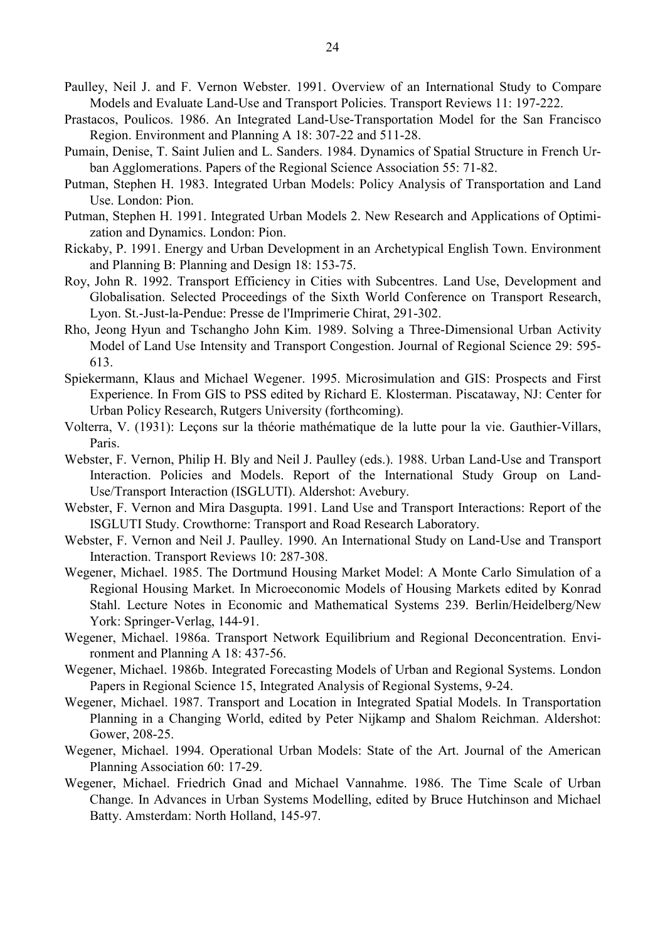- Paulley, Neil J. and F. Vernon Webster. 1991. Overview of an International Study to Compare Models and Evaluate Land-Use and Transport Policies. Transport Reviews 11: 197-222.
- Prastacos, Poulicos. 1986. An Integrated Land-Use-Transportation Model for the San Francisco Region. Environment and Planning A 18: 307-22 and 511-28.
- Pumain, Denise, T. Saint Julien and L. Sanders. 1984. Dynamics of Spatial Structure in French Urban Agglomerations. Papers of the Regional Science Association 55: 71-82.
- Putman, Stephen H. 1983. Integrated Urban Models: Policy Analysis of Transportation and Land Use. London: Pion.
- Putman, Stephen H. 1991. Integrated Urban Models 2. New Research and Applications of Optimization and Dynamics. London: Pion.
- Rickaby, P. 1991. Energy and Urban Development in an Archetypical English Town. Environment and Planning B: Planning and Design 18: 153-75.
- Roy, John R. 1992. Transport Efficiency in Cities with Subcentres. Land Use, Development and Globalisation. Selected Proceedings of the Sixth World Conference on Transport Research, Lyon. St.-Just-la-Pendue: Presse de l'Imprimerie Chirat, 291-302.
- Rho, Jeong Hyun and Tschangho John Kim. 1989. Solving a Three-Dimensional Urban Activity Model of Land Use Intensity and Transport Congestion. Journal of Regional Science 29: 595- 613.
- Spiekermann, Klaus and Michael Wegener. 1995. Microsimulation and GIS: Prospects and First Experience. In From GIS to PSS edited by Richard E. Klosterman. Piscataway, NJ: Center for Urban Policy Research, Rutgers University (forthcoming).
- Volterra, V. (1931): Leçons sur la théorie mathématique de la lutte pour la vie. Gauthier-Villars, Paris.
- Webster, F. Vernon, Philip H. Bly and Neil J. Paulley (eds.). 1988. Urban Land-Use and Transport Interaction. Policies and Models. Report of the International Study Group on Land-Use/Transport Interaction (ISGLUTI). Aldershot: Avebury.
- Webster, F. Vernon and Mira Dasgupta. 1991. Land Use and Transport Interactions: Report of the ISGLUTI Study. Crowthorne: Transport and Road Research Laboratory.
- Webster, F. Vernon and Neil J. Paulley. 1990. An International Study on Land-Use and Transport Interaction. Transport Reviews 10: 287-308.
- Wegener, Michael. 1985. The Dortmund Housing Market Model: A Monte Carlo Simulation of a Regional Housing Market. In Microeconomic Models of Housing Markets edited by Konrad Stahl. Lecture Notes in Economic and Mathematical Systems 239. Berlin/Heidelberg/New York: Springer-Verlag, 144-91.
- Wegener, Michael. 1986a. Transport Network Equilibrium and Regional Deconcentration. Environment and Planning A 18: 437-56.
- Wegener, Michael. 1986b. Integrated Forecasting Models of Urban and Regional Systems. London Papers in Regional Science 15, Integrated Analysis of Regional Systems, 9-24.
- Wegener, Michael. 1987. Transport and Location in Integrated Spatial Models. In Transportation Planning in a Changing World, edited by Peter Nijkamp and Shalom Reichman. Aldershot: Gower, 208-25.
- Wegener, Michael. 1994. Operational Urban Models: State of the Art. Journal of the American Planning Association 60: 17-29.
- Wegener, Michael. Friedrich Gnad and Michael Vannahme. 1986. The Time Scale of Urban Change. In Advances in Urban Systems Modelling, edited by Bruce Hutchinson and Michael Batty. Amsterdam: North Holland, 145-97.